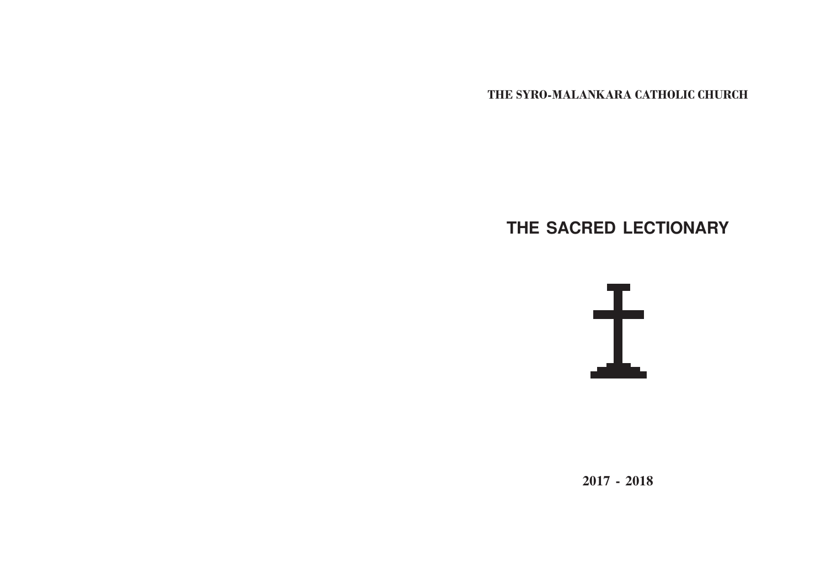THE SYRO-MALANKARA CATHOLIC CHURCH

# **THE SACRED LECTIONARY**



**2017 - 2018**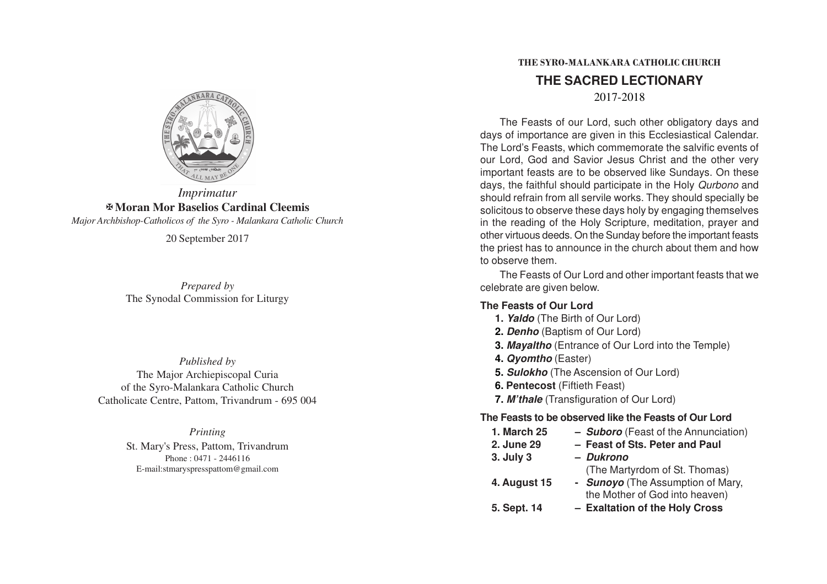

## *Imprimatur* X**Moran Mor Baselios Cardinal Cleemis**

*Major Archbishop-Catholicos of the Syro - Malankara Catholic Church*

20 September 2017

*Prepared by* The Synodal Commission for Liturgy

*Published by* The Major Archiepiscopal Curia of the Syro-Malankara Catholic Church Catholicate Centre, Pattom, Trivandrum - 695 004

> *Printing* St. Mary's Press, Pattom, Trivandrum Phone : 0471 - 2446116 E-mail:stmaryspresspattom@gmail.com

## THE SYRO-MALANKARA CATHOLIC CHURCH **THE SACRED LECTIONARY** 2017-2018

The Feasts of our Lord, such other obligatory days and days of importance are given in this Ecclesiastical Calendar. The Lord's Feasts, which commemorate the salvific events of our Lord, God and Savior Jesus Christ and the other very important feasts are to be observed like Sundays. On these days, the faithful should participate in the Holy Qurbono and should refrain from all servile works. They should specially be solicitous to observe these days holy by engaging themselves in the reading of the Holy Scripture, meditation, prayer and other virtuous deeds. On the Sunday before the important feasts the priest has to announce in the church about them and how to observe them.

The Feasts of Our Lord and other important feasts that we celebrate are given below.

### **The Feasts of Our Lord**

- **1. Yaldo** (The Birth of Our Lord)
- **2. Denho** (Baptism of Our Lord)
- **3. Mayaltho** (Entrance of Our Lord into the Temple)
- **4. Qyomtho** (Easter)
- **5. Sulokho** (The Ascension of Our Lord)
- **6. Pentecost** (Fiftieth Feast)
- **7. M'thale** (Transfiguration of Our Lord)

## **The Feasts to be observed like the Feasts of Our Lord**

- **1. March 25 – Suboro** (Feast of the Annunciation)
- **2. June 29 – Feast of Sts. Peter and Paul**
- **3. July 3 – Dukrono**
	- (The Martyrdom of St. Thomas)
- **4. August 15 - Sunoyo** (The Assumption of Mary, the Mother of God into heaven)
- **5. Sept. 14 – Exaltation of the Holy Cross**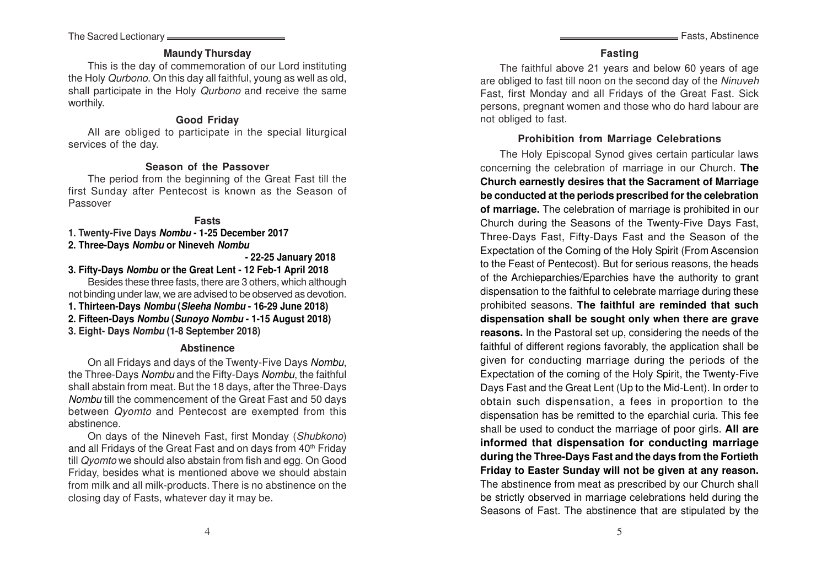The Sacred Lectionary

### **Maundy Thursday**

This is the day of commemoration of our Lord instituting the Holy Qurbono. On this day all faithful, young as well as old, shall participate in the Holy Qurbono and receive the same worthily.

#### **Good Friday**

All are obliged to participate in the special liturgical services of the day.

#### **Season of the Passover**

The period from the beginning of the Great Fast till the first Sunday after Pentecost is known as the Season of Passover

#### **Fast s**

**1. Twenty-Five Days Nombu - 1-25 December 2017**

### **2. Three-Days Nombu or Nineveh Nombu**

**- 22-25 January 2018**

**3. Fifty-Days Nombu or the Great Lent - 12 Feb-1 April 2018**

Besides these three fasts, there are 3 others, which although not binding under law, we are advised to be observed as devotion.

- **1. Thirteen-Days Nombu (Sleeha Nombu 16-29 June 2018)**
- **2. Fifteen-Days Nombu (Sunoyo Nombu 1-15 August 2018)**
- **3. Eight- Days Nombu (1-8 September 2018)**

#### **Abstinence**

On all Fridays and days of the Twenty-Five Days *Nombu*, the Three-Days Nombu and the Fifty-Days Nombu, the faithful shall abstain from meat. But the 18 days, after the Three-Days Nombu till the commencement of the Great Fast and 50 days between Qyomto and Pentecost are exempted from this abstinence.

On days of the Nineveh Fast, first Monday (Shubkono) and all Fridays of the Great Fast and on days from 40<sup>th</sup> Friday till Qyomto we should also abstain from fish and egg. On Good Friday, besides what is mentioned above we should abstain from milk and all milk-products. There is no abstinence on the closing day of Fasts, whatever day it may be.

The faithful above 21 years and below 60 years of age are obliged to fast till noon on the second day of the Ninuveh Fast, first Monday and all Fridays of the Great Fast. Sick persons, pregnant women and those who do hard labour are not obliged to fast.

#### **Prohibition from Marriage Celebrations**

The Holy Episcopal Synod gives certain particular laws concerning the celebration of marriage in our Church. **The Church earnestly desires that the Sacrament of Marriage be conducted at the periods prescribed for the celebration of marriage.** The celebration of marriage is prohibited in our Church during the Seasons of the Twenty-Five Days Fast, Three-Days Fast, Fifty-Days Fast and the Season of the Expectation of the Coming of the Holy Spirit (From Ascension to the Feast of Pentecost). But for serious reasons, the heads of the Archieparchies/Eparchies have the authority to grant dispensation to the faithful to celebrate marriage during these prohibited seasons. **The faithful are reminded that such dispensation shall be sought only when there are grave reasons.** In the Pastoral set up, considering the needs of the faithful of different regions favorably, the application shall be given for conducting marriage during the periods of the Expectation of the coming of the Holy Spirit, the Twenty-Five Days Fast and the Great Lent (Up to the Mid-Lent). In order to obtain such dispensation, a fees in proportion to the dispensation has be remitted to the eparchial curia. This fee shall be used to conduct the marriage of poor girls. **All are informed that dispensation for conducting marriage during the Three-Days Fast and the days from the Fortieth Friday to Easter Sunday will not be given at any reason.** The abstinence from meat as prescribed by our Church shall be strictly observed in marriage celebrations held during the Seasons of Fast. The abstinence that are stipulated by the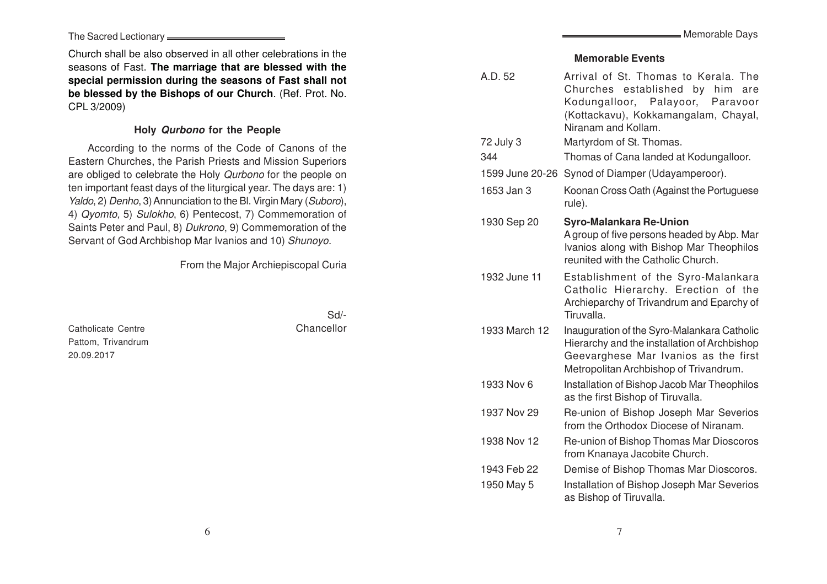The Sacred Lectionary

Church shall be also observed in all other celebrations in the seasons of Fast. **The marriage that are blessed with the special permission during the seasons of Fast shall not be blessed by the Bishops of our Church**. (Ref. Prot. No. CPL 3/2009)

### **Holy Qurbono for the People**

According to the norms of the Code of Canons of the Eastern Churches, the Parish Priests and Mission Superiors are obliged to celebrate the Holy Qurbono for the people on ten important feast days of the liturgical year. The days are: 1) Yaldo, 2) Denho, 3) Annunciation to the Bl. Virgin Mary (Suboro), 4) Qyomto, 5) Sulokho, 6) Pentecost, 7) Commemoration of Saints Peter and Paul, 8) Dukrono, 9) Commemoration of the Servant of God Archbishop Mar Ivanios and 10) Shunoyo.

From the Major Archiepiscopal Curia

Catholicate Centre **Chancellor** Chancellor Pattom, Trivandrum 20.09.2017

Sd/-

#### **Memorable Event s**

| A.D. 52         | Arrival of St. Thomas to Kerala. The<br>Churches established by<br>him<br>are<br>Kodungalloor, Palayoor, Paravoor<br>(Kottackavu), Kokkamangalam, Chayal,<br>Niranam and Kollam. |  |  |
|-----------------|----------------------------------------------------------------------------------------------------------------------------------------------------------------------------------|--|--|
| 72 July 3       | Martyrdom of St. Thomas.                                                                                                                                                         |  |  |
| 344             | Thomas of Cana landed at Kodungalloor.                                                                                                                                           |  |  |
| 1599 June 20-26 | Synod of Diamper (Udayamperoor).                                                                                                                                                 |  |  |
| 1653 Jan 3      | Koonan Cross Oath (Against the Portuguese<br>rule).                                                                                                                              |  |  |
| 1930 Sep 20     | <b>Syro-Malankara Re-Union</b><br>A group of five persons headed by Abp. Mar<br>Ivanios along with Bishop Mar Theophilos<br>reunited with the Catholic Church.                   |  |  |
| 1932 June 11    | Establishment of the Syro-Malankara<br>Catholic Hierarchy. Erection of the<br>Archieparchy of Trivandrum and Eparchy of<br>Tiruvalla.                                            |  |  |
| 1933 March 12   | Inauguration of the Syro-Malankara Catholic<br>Hierarchy and the installation of Archbishop<br>Geevarghese Mar Ivanios as the first<br>Metropolitan Archbishop of Trivandrum.    |  |  |
| 1933 Nov 6      | Installation of Bishop Jacob Mar Theophilos<br>as the first Bishop of Tiruvalla.                                                                                                 |  |  |
| 1937 Nov 29     | Re-union of Bishop Joseph Mar Severios<br>from the Orthodox Diocese of Niranam.                                                                                                  |  |  |
| 1938 Nov 12     | Re-union of Bishop Thomas Mar Dioscoros<br>from Knanaya Jacobite Church.                                                                                                         |  |  |
| 1943 Feb 22     | Demise of Bishop Thomas Mar Dioscoros.                                                                                                                                           |  |  |
| 1950 May 5      | Installation of Bishop Joseph Mar Severios<br>as Bishop of Tiruvalla.                                                                                                            |  |  |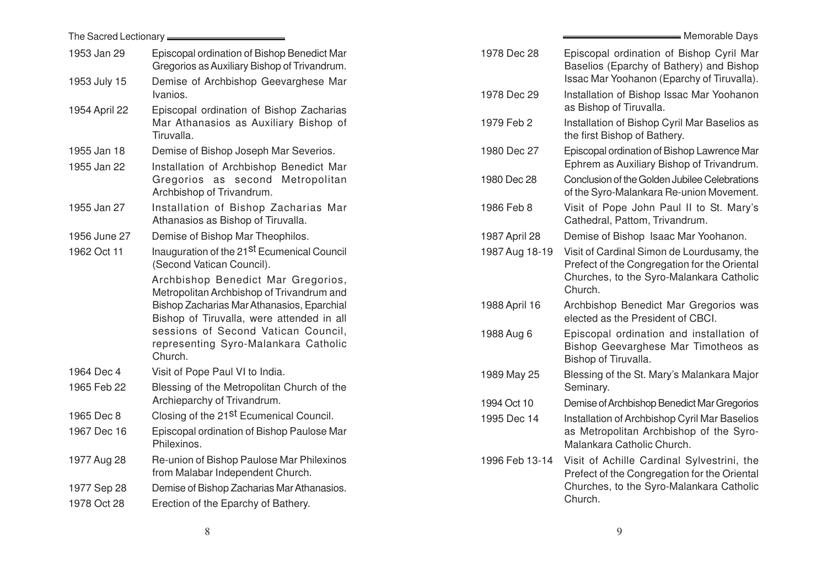| The Sacred Lectionary <b>Fig. 2016</b>                                                                                                                                                                                                                                                                                                                       |                                                                                                                                                                                                                   | Memorable Days                                                                                                                                    |
|--------------------------------------------------------------------------------------------------------------------------------------------------------------------------------------------------------------------------------------------------------------------------------------------------------------------------------------------------------------|-------------------------------------------------------------------------------------------------------------------------------------------------------------------------------------------------------------------|---------------------------------------------------------------------------------------------------------------------------------------------------|
| Episcopal ordination of Bishop Benedict Mar<br>Gregorios as Auxiliary Bishop of Trivandrum.                                                                                                                                                                                                                                                                  | 1978 Dec 28                                                                                                                                                                                                       | Episcopal ordination of Bishop Cyril Mar<br>Baselios (Eparchy of Bathery) and Bishop<br>Issac Mar Yoohanon (Eparchy of Tiruvalla).                |
| Ivanios.                                                                                                                                                                                                                                                                                                                                                     | 1978 Dec 29                                                                                                                                                                                                       | Installation of Bishop Issac Mar Yoohanon<br>as Bishop of Tiruvalla.                                                                              |
| Mar Athanasios as Auxiliary Bishop of<br>Tiruvalla.                                                                                                                                                                                                                                                                                                          | 1979 Feb 2                                                                                                                                                                                                        | Installation of Bishop Cyril Mar Baselios as<br>the first Bishop of Bathery.                                                                      |
| Demise of Bishop Joseph Mar Severios.                                                                                                                                                                                                                                                                                                                        | 1980 Dec 27                                                                                                                                                                                                       | Episcopal ordination of Bishop Lawrence Mar<br>Ephrem as Auxiliary Bishop of Trivandrum.                                                          |
| Gregorios as second Metropolitan<br>Archbishop of Trivandrum.                                                                                                                                                                                                                                                                                                | 1980 Dec 28                                                                                                                                                                                                       | Conclusion of the Golden Jubilee Celebrations<br>of the Syro-Malankara Re-union Movement.                                                         |
| Installation of Bishop Zacharias Mar<br>Athanasios as Bishop of Tiruvalla.                                                                                                                                                                                                                                                                                   | 1986 Feb 8                                                                                                                                                                                                        | Visit of Pope John Paul II to St. Mary's<br>Cathedral, Pattom, Trivandrum.                                                                        |
| Demise of Bishop Mar Theophilos.                                                                                                                                                                                                                                                                                                                             | 1987 April 28                                                                                                                                                                                                     | Demise of Bishop Isaac Mar Yoohanon.                                                                                                              |
| Inauguration of the 21 <sup>St</sup> Ecumenical Council<br>(Second Vatican Council).<br>Archbishop Benedict Mar Gregorios,<br>Metropolitan Archbishop of Trivandrum and<br>Bishop Zacharias Mar Athanasios, Eparchial<br>Bishop of Tiruvalla, were attended in all<br>sessions of Second Vatican Council,<br>representing Syro-Malankara Catholic<br>Church. | 1987 Aug 18-19                                                                                                                                                                                                    | Visit of Cardinal Simon de Lourdusamy, the<br>Prefect of the Congregation for the Oriental<br>Churches, to the Syro-Malankara Catholic<br>Church. |
|                                                                                                                                                                                                                                                                                                                                                              | 1988 April 16                                                                                                                                                                                                     | Archbishop Benedict Mar Gregorios was<br>elected as the President of CBCI.                                                                        |
|                                                                                                                                                                                                                                                                                                                                                              | 1988 Aug 6                                                                                                                                                                                                        | Episcopal ordination and installation of<br>Bishop Geevarghese Mar Timotheos as<br>Bishop of Tiruvalla.                                           |
| Visit of Pope Paul VI to India.                                                                                                                                                                                                                                                                                                                              | 1989 May 25                                                                                                                                                                                                       | Blessing of the St. Mary's Malankara Major                                                                                                        |
| Blessing of the Metropolitan Church of the                                                                                                                                                                                                                                                                                                                   |                                                                                                                                                                                                                   | Seminary.                                                                                                                                         |
|                                                                                                                                                                                                                                                                                                                                                              |                                                                                                                                                                                                                   | Demise of Archbishop Benedict Mar Gregorios                                                                                                       |
| Episcopal ordination of Bishop Paulose Mar<br>Philexinos.                                                                                                                                                                                                                                                                                                    |                                                                                                                                                                                                                   | Installation of Archbishop Cyril Mar Baselios<br>as Metropolitan Archbishop of the Syro-<br>Malankara Catholic Church.                            |
| Re-union of Bishop Paulose Mar Philexinos<br>from Malabar Independent Church.                                                                                                                                                                                                                                                                                | 1996 Feb 13-14                                                                                                                                                                                                    | Visit of Achille Cardinal Sylvestrini, the<br>Prefect of the Congregation for the Oriental                                                        |
| Demise of Bishop Zacharias Mar Athanasios.                                                                                                                                                                                                                                                                                                                   |                                                                                                                                                                                                                   | Churches, to the Syro-Malankara Catholic                                                                                                          |
| Erection of the Eparchy of Bathery.                                                                                                                                                                                                                                                                                                                          |                                                                                                                                                                                                                   | Church.                                                                                                                                           |
|                                                                                                                                                                                                                                                                                                                                                              | Demise of Archbishop Geevarghese Mar<br>Episcopal ordination of Bishop Zacharias<br>Installation of Archbishop Benedict Mar<br>Archieparchy of Trivandrum.<br>Closing of the 21 <sup>st</sup> Ecumenical Council. | 1994 Oct 10<br>1995 Dec 14                                                                                                                        |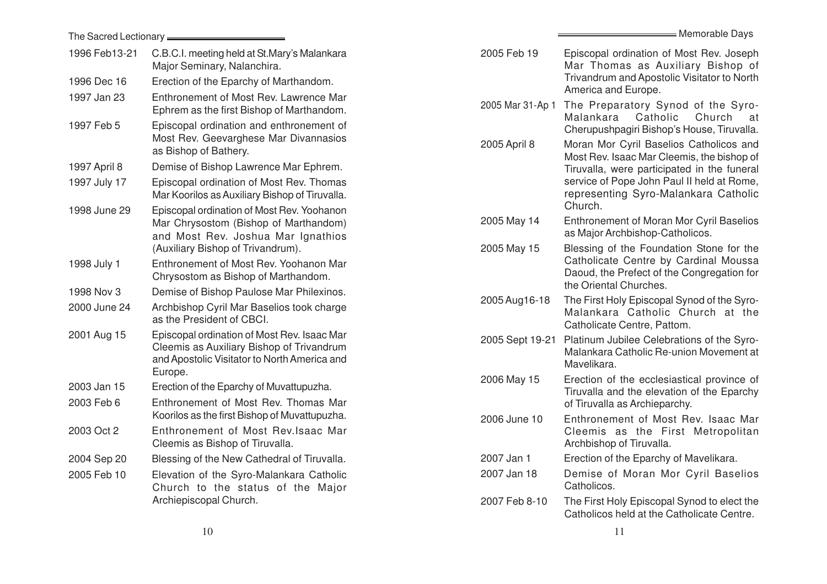|               | The Sacred Lectionary <b>____________________</b>                                                                                        |                  | Memorable Days                                                                                                                      |
|---------------|------------------------------------------------------------------------------------------------------------------------------------------|------------------|-------------------------------------------------------------------------------------------------------------------------------------|
| 1996 Feb13-21 | C.B.C.I. meeting held at St.Mary's Malankara<br>Major Seminary, Nalanchira.                                                              | 2005 Feb 19      | Episcopal ordination of Most Rev. Joseph<br>Mar Thomas as Auxiliary Bishop of                                                       |
| 1996 Dec 16   | Erection of the Eparchy of Marthandom.                                                                                                   |                  | Trivandrum and Apostolic Visitator to North                                                                                         |
| 1997 Jan 23   | Enthronement of Most Rev. Lawrence Mar<br>Ephrem as the first Bishop of Marthandom.                                                      | 2005 Mar 31-Ap 1 | America and Europe.<br>The Preparatory Synod of the Syro-<br>Church at<br>Malankara Catholic                                        |
| 1997 Feb 5    | Episcopal ordination and enthronement of<br>Most Rev. Geevarghese Mar Divannasios<br>as Bishop of Bathery.                               | 2005 April 8     | Cherupushpagiri Bishop's House, Tiruvalla.<br>Moran Mor Cyril Baselios Catholicos and<br>Most Rev. Isaac Mar Cleemis, the bishop of |
| 1997 April 8  | Demise of Bishop Lawrence Mar Ephrem.                                                                                                    |                  | Tiruvalla, were participated in the funeral                                                                                         |
| 1997 July 17  | Episcopal ordination of Most Rev. Thomas<br>Mar Koorilos as Auxiliary Bishop of Tiruvalla.                                               |                  | service of Pope John Paul II held at Rome,<br>representing Syro-Malankara Catholic                                                  |
| 1998 June 29  | Episcopal ordination of Most Rev. Yoohanon<br>Mar Chrysostom (Bishop of Marthandom)<br>and Most Rev. Joshua Mar Ignathios                | 2005 May 14      | Church.<br>Enthronement of Moran Mor Cyril Baselios<br>as Major Archbishop-Catholicos.                                              |
| 1998 July 1   | (Auxiliary Bishop of Trivandrum).<br>Enthronement of Most Rev. Yoohanon Mar<br>Chrysostom as Bishop of Marthandom.                       | 2005 May 15      | Blessing of the Foundation Stone for the<br>Catholicate Centre by Cardinal Moussa<br>Daoud, the Prefect of the Congregation for     |
| 1998 Nov 3    | Demise of Bishop Paulose Mar Philexinos.                                                                                                 |                  | the Oriental Churches.                                                                                                              |
| 2000 June 24  | Archbishop Cyril Mar Baselios took charge<br>as the President of CBCI.                                                                   | 2005 Aug 16-18   | The First Holy Episcopal Synod of the Syro-<br>Malankara Catholic Church at the<br>Catholicate Centre, Pattom.                      |
| 2001 Aug 15   | Episcopal ordination of Most Rev. Isaac Mar<br>Cleemis as Auxiliary Bishop of Trivandrum<br>and Apostolic Visitator to North America and | 2005 Sept 19-21  | Platinum Jubilee Celebrations of the Syro-<br>Malankara Catholic Re-union Movement at<br>Mavelikara.                                |
| 2003 Jan 15   | Europe.<br>Erection of the Eparchy of Muvattupuzha.                                                                                      | 2006 May 15      | Erection of the ecclesiastical province of<br>Tiruvalla and the elevation of the Eparchy                                            |
| 2003 Feb 6    | Enthronement of Most Rev. Thomas Mar<br>Koorilos as the first Bishop of Muvattupuzha.                                                    | 2006 June 10     | of Tiruvalla as Archieparchy.<br>Enthronement of Most Rev. Isaac Mar                                                                |
| 2003 Oct 2    | Enthronement of Most Rev. Isaac Mar<br>Cleemis as Bishop of Tiruvalla.                                                                   |                  | Cleemis as the First Metropolitan<br>Archbishop of Tiruvalla.                                                                       |
| 2004 Sep 20   | Blessing of the New Cathedral of Tiruvalla.                                                                                              | 2007 Jan 1       | Erection of the Eparchy of Mavelikara.                                                                                              |
| 2005 Feb 10   | Elevation of the Syro-Malankara Catholic<br>Church to the status of the Major                                                            | 2007 Jan 18      | Demise of Moran Mor Cyril Baselios<br>Catholicos.                                                                                   |
|               | Archiepiscopal Church.                                                                                                                   | 2007 Feb 8-10    | The First Holy Episcopal Synod to elect the<br>Catholicos held at the Catholicate Centre.                                           |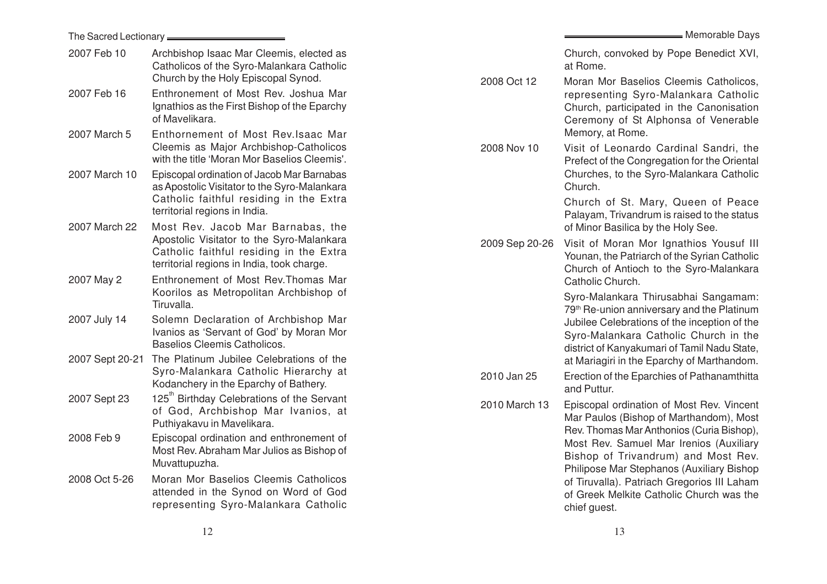| The Sacred Lectionary _________ |                                                                                                                                       |                | = Memorable Days                                                                                                                                                                                |
|---------------------------------|---------------------------------------------------------------------------------------------------------------------------------------|----------------|-------------------------------------------------------------------------------------------------------------------------------------------------------------------------------------------------|
| 2007 Feb 10                     | Archbishop Isaac Mar Cleemis, elected as<br>Catholicos of the Syro-Malankara Catholic<br>Church by the Holy Episcopal Synod.          | 2008 Oct 12    | Church, convoked by Pope Benedict XVI,<br>at Rome.<br>Moran Mor Baselios Cleemis Catholicos,                                                                                                    |
| 2007 Feb 16                     | Enthronement of Most Rev. Joshua Mar<br>Ignathios as the First Bishop of the Eparchy<br>of Mavelikara.                                |                | representing Syro-Malankara Catholic<br>Church, participated in the Canonisation<br>Ceremony of St Alphonsa of Venerable                                                                        |
| 2007 March 5                    | Enthornement of Most Rev. Isaac Mar<br>Cleemis as Major Archbishop-Catholicos<br>with the title 'Moran Mor Baselios Cleemis'.         | 2008 Nov 10    | Memory, at Rome.<br>Visit of Leonardo Cardinal Sandri, the<br>Prefect of the Congregation for the Oriental                                                                                      |
| 2007 March 10                   | Episcopal ordination of Jacob Mar Barnabas<br>as Apostolic Visitator to the Syro-Malankara                                            |                | Churches, to the Syro-Malankara Catholic<br>Church.                                                                                                                                             |
| 2007 March 22                   | Catholic faithful residing in the Extra<br>territorial regions in India.<br>Most Rev. Jacob Mar Barnabas, the                         |                | Church of St. Mary, Queen of Peace<br>Palayam, Trivandrum is raised to the status<br>of Minor Basilica by the Holy See.                                                                         |
|                                 | Apostolic Visitator to the Syro-Malankara<br>Catholic faithful residing in the Extra<br>territorial regions in India, took charge.    | 2009 Sep 20-26 | Visit of Moran Mor Ignathios Yousuf III<br>Younan, the Patriarch of the Syrian Catholic<br>Church of Antioch to the Syro-Malankara                                                              |
| 2007 May 2                      | Enthronement of Most Rev. Thomas Mar<br>Koorilos as Metropolitan Archbishop of                                                        |                | Catholic Church.<br>Syro-Malankara Thirusabhai Sangamam:                                                                                                                                        |
| 2007 July 14                    | Tiruvalla.<br>Solemn Declaration of Archbishop Mar<br>Ivanios as 'Servant of God' by Moran Mor<br><b>Baselios Cleemis Catholicos.</b> |                | 79 <sup>th</sup> Re-union anniversary and the Platinum<br>Jubilee Celebrations of the inception of the<br>Syro-Malankara Catholic Church in the<br>district of Kanyakumari of Tamil Nadu State, |
| 2007 Sept 20-21                 | The Platinum Jubilee Celebrations of the<br>Syro-Malankara Catholic Hierarchy at<br>Kodanchery in the Eparchy of Bathery.             | 2010 Jan 25    | at Mariagiri in the Eparchy of Marthandom.<br>Erection of the Eparchies of Pathanamthitta<br>and Puttur.                                                                                        |
| 2007 Sept 23                    | 125 <sup>th</sup> Birthday Celebrations of the Servant<br>of God, Archbishop Mar Ivanios, at<br>Puthiyakavu in Mavelikara.            | 2010 March 13  | Episcopal ordination of Most Rev. Vincent<br>Mar Paulos (Bishop of Marthandom), Most<br>Rev. Thomas Mar Anthonios (Curia Bishop),                                                               |
| 2008 Feb 9                      | Episcopal ordination and enthronement of<br>Most Rev. Abraham Mar Julios as Bishop of<br>Muvattupuzha.                                |                | Most Rev. Samuel Mar Irenios (Auxiliary<br>Bishop of Trivandrum) and Most Rev.<br>Philipose Mar Stephanos (Auxiliary Bishop                                                                     |
| 2008 Oct 5-26                   | Moran Mor Baselios Cleemis Catholicos<br>attended in the Synod on Word of God<br>representing Syro-Malankara Catholic                 |                | of Tiruvalla). Patriach Gregorios III Laham<br>of Greek Melkite Catholic Church was the<br>chief guest.                                                                                         |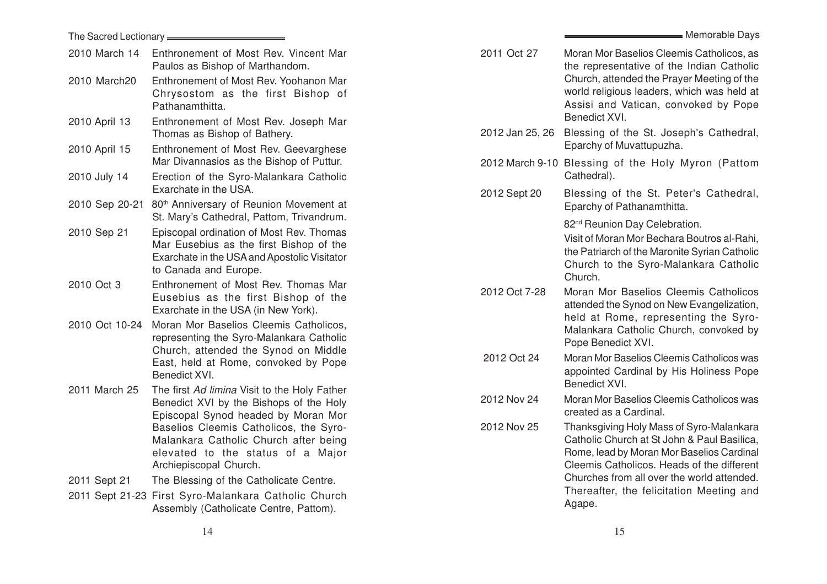|                | The Sacred Lectionary <b>Constant Constant Constant</b>                                                                                                      |                             |                                                                                        |
|----------------|--------------------------------------------------------------------------------------------------------------------------------------------------------------|-----------------------------|----------------------------------------------------------------------------------------|
| 2010 March 14  | Enthronement of Most Rev. Vincent Mar<br>Paulos as Bishop of Marthandom.                                                                                     | 2011 Oct 27                 | Moran Mor Ba<br>the represen                                                           |
| 2010 March20   | Enthronement of Most Rev. Yoohanon Mar<br>Chrysostom as the first Bishop of<br>Pathanamthitta.                                                               |                             | Church, atter<br>world religiou<br>Assisi and \                                        |
| 2010 April 13  | Enthronement of Most Rev. Joseph Mar<br>Thomas as Bishop of Bathery.                                                                                         | 2012 Jan 25, 26             | <b>Benedict XVI</b><br>Blessing of                                                     |
| 2010 April 15  | Enthronement of Most Rev. Geevarghese<br>Mar Divannasios as the Bishop of Puttur.                                                                            | 2012 March 9-10 Blessing of | Eparchy of M                                                                           |
| 2010 July 14   | Erection of the Syro-Malankara Catholic<br>Exarchate in the USA.                                                                                             | 2012 Sept 20                | Cathedral).<br>Blessing of                                                             |
|                | 2010 Sep 20-21 80 <sup>th</sup> Anniversary of Reunion Movement at<br>St. Mary's Cathedral, Pattom, Trivandrum.                                              |                             | Eparchy of Pa                                                                          |
| 2010 Sep 21    | Episcopal ordination of Most Rev. Thomas<br>Mar Eusebius as the first Bishop of the<br>Exarchate in the USA and Apostolic Visitator<br>to Canada and Europe. |                             | 82 <sup>nd</sup> Reunion<br>Visit of Moran<br>the Patriarch<br>Church to th<br>Church. |
| 2010 Oct 3     | Enthronement of Most Rev. Thomas Mar<br>Eusebius as the first Bishop of the<br>Exarchate in the USA (in New York).                                           | 2012 Oct 7-28               | Moran Mor I<br>attended the<br>held at Ron                                             |
| 2010 Oct 10-24 | Moran Mor Baselios Cleemis Catholicos,<br>representing the Syro-Malankara Catholic<br>Church, attended the Synod on Middle                                   |                             | Malankara C<br>Pope Benedi                                                             |
|                | East, held at Rome, convoked by Pope<br>Benedict XVI.                                                                                                        | 2012 Oct 24                 | Moran Mor Ba<br>appointed Ca<br><b>Benedict XVI</b>                                    |
| 2011 March 25  | The first Ad limina Visit to the Holy Father<br>Benedict XVI by the Bishops of the Holy<br>Episcopal Synod headed by Moran Mor                               | 2012 Nov 24                 | Moran Mor Ba<br>created as a                                                           |
|                | Baselios Cleemis Catholicos, the Syro-<br>Malankara Catholic Church after being<br>elevated to the status of a Major<br>Archiepiscopal Church.               | 2012 Nov 25                 | Thanksgiving<br>Catholic Chu<br>Rome, lead b<br><b>Cleemis Cath</b>                    |
| 2011 Sept 21   | The Blessing of the Catholicate Centre.                                                                                                                      |                             | Churches fro                                                                           |
|                | 2011 Sept 21-23 First Syro-Malankara Catholic Church<br>Assembly (Catholicate Centre, Pattom).                                                               |                             | Thereafter,<br>Agape.                                                                  |
|                | 14                                                                                                                                                           |                             | 15                                                                                     |

| 2011 Oct 27     | Moran Mor Baselios Cleemis Catholicos, as<br>the representative of the Indian Catholic<br>Church, attended the Prayer Meeting of the<br>world religious leaders, which was held at<br>Assisi and Vatican, convoked by Pope<br>Benedict XVI.                                            |
|-----------------|----------------------------------------------------------------------------------------------------------------------------------------------------------------------------------------------------------------------------------------------------------------------------------------|
| 2012 Jan 25, 26 | Blessing of the St. Joseph's Cathedral,<br>Eparchy of Muvattupuzha.                                                                                                                                                                                                                    |
| 2012 March 9-10 | Blessing of the Holy Myron (Pattom<br>Cathedral).                                                                                                                                                                                                                                      |
| 2012 Sept 20    | Blessing of the St. Peter's Cathedral,<br>Eparchy of Pathanamthitta.                                                                                                                                                                                                                   |
|                 | 82 <sup>nd</sup> Reunion Day Celebration.<br>Visit of Moran Mor Bechara Boutros al-Rahi,<br>the Patriarch of the Maronite Syrian Catholic<br>Church to the Syro-Malankara Catholic<br>Church.                                                                                          |
| 2012 Oct 7-28   | Moran Mor Baselios Cleemis Catholicos<br>attended the Synod on New Evangelization,<br>held at Rome, representing the Syro-<br>Malankara Catholic Church, convoked by<br>Pope Benedict XVI.                                                                                             |
| 2012 Oct 24     | Moran Mor Baselios Cleemis Catholicos was<br>appointed Cardinal by His Holiness Pope<br>Benedict XVI.                                                                                                                                                                                  |
| 2012 Nov 24     | Moran Mor Baselios Cleemis Catholicos was<br>created as a Cardinal.                                                                                                                                                                                                                    |
| 2012 Nov 25     | Thanksgiving Holy Mass of Syro-Malankara<br>Catholic Church at St John & Paul Basilica,<br>Rome, lead by Moran Mor Baselios Cardinal<br>Cleemis Catholicos. Heads of the different<br>Churches from all over the world attended.<br>Thereafter, the felicitation Meeting and<br>Agape. |

Memorable Days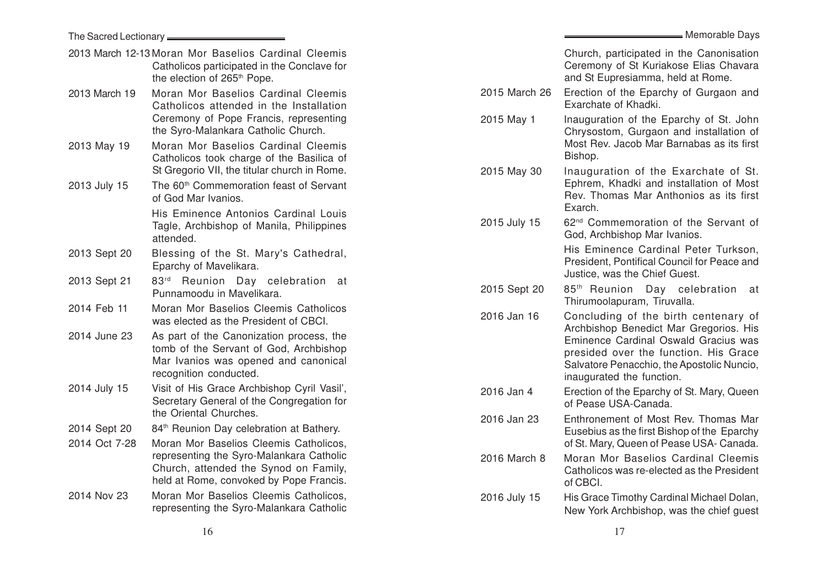|               |                                                                                                                                                                        |               | Memorable Days                                                                                                                                           |  |
|---------------|------------------------------------------------------------------------------------------------------------------------------------------------------------------------|---------------|----------------------------------------------------------------------------------------------------------------------------------------------------------|--|
|               | 2013 March 12-13 Moran Mor Baselios Cardinal Cleemis<br>Catholicos participated in the Conclave for<br>the election of 265 <sup>th</sup> Pope.                         |               | Church, participated in the Canonisation<br>Ceremony of St Kuriakose Elias Chavara<br>and St Eupresiamma, held at Rome.                                  |  |
| 2013 March 19 | Moran Mor Baselios Cardinal Cleemis<br>Catholicos attended in the Installation                                                                                         | 2015 March 26 | Erection of the Eparchy of Gurgaon and<br>Exarchate of Khadki.                                                                                           |  |
|               | Ceremony of Pope Francis, representing<br>the Syro-Malankara Catholic Church.                                                                                          | 2015 May 1    | Inauguration of the Eparchy of St. John<br>Chrysostom, Gurgaon and installation of                                                                       |  |
| 2013 May 19   | Moran Mor Baselios Cardinal Cleemis<br>Catholicos took charge of the Basilica of                                                                                       |               | Most Rev. Jacob Mar Barnabas as its first<br>Bishop.                                                                                                     |  |
| 2013 July 15  | St Gregorio VII, the titular church in Rome.<br>The 60 <sup>th</sup> Commemoration feast of Servant<br>of God Mar Ivanios.                                             | 2015 May 30   | Inauguration of the Exarchate of St.<br>Ephrem, Khadki and installation of Most<br>Rev. Thomas Mar Anthonios as its first                                |  |
|               | His Eminence Antonios Cardinal Louis<br>Tagle, Archbishop of Manila, Philippines<br>attended.                                                                          | 2015 July 15  | Exarch.<br>62 <sup>nd</sup> Commemoration of the Servant of<br>God, Archbishop Mar Ivanios.                                                              |  |
| 2013 Sept 20  | Blessing of the St. Mary's Cathedral,<br>Eparchy of Mavelikara.                                                                                                        |               | His Eminence Cardinal Peter Turkson,<br>President, Pontifical Council for Peace and<br>Justice, was the Chief Guest.                                     |  |
| 2013 Sept 21  | 83rd Reunion Day celebration at<br>Punnamoodu in Mavelikara.                                                                                                           | 2015 Sept 20  | 85 <sup>th</sup> Reunion Day celebration at<br>Thirumoolapuram, Tiruvalla.                                                                               |  |
| 2014 Feb 11   | Moran Mor Baselios Cleemis Catholicos<br>was elected as the President of CBCI.                                                                                         | 2016 Jan 16   | Concluding of the birth centenary of<br>Archbishop Benedict Mar Gregorios. His                                                                           |  |
| 2014 June 23  | As part of the Canonization process, the<br>tomb of the Servant of God, Archbishop<br>Mar Ivanios was opened and canonical<br>recognition conducted.                   |               | Eminence Cardinal Oswald Gracius was<br>presided over the function. His Grace<br>Salvatore Penacchio, the Apostolic Nuncio,<br>inaugurated the function. |  |
| 2014 July 15  | Visit of His Grace Archbishop Cyril Vasil',<br>Secretary General of the Congregation for<br>the Oriental Churches.                                                     | 2016 Jan 4    | Erection of the Eparchy of St. Mary, Queen<br>of Pease USA-Canada.                                                                                       |  |
| 2014 Sept 20  | 84 <sup>th</sup> Reunion Day celebration at Bathery.                                                                                                                   | 2016 Jan 23   | Enthronement of Most Rev. Thomas Mar<br>Eusebius as the first Bishop of the Eparchy                                                                      |  |
| 2014 Oct 7-28 | Moran Mor Baselios Cleemis Catholicos,<br>representing the Syro-Malankara Catholic<br>Church, attended the Synod on Family,<br>held at Rome, convoked by Pope Francis. | 2016 March 8  | of St. Mary, Queen of Pease USA- Canada.<br>Moran Mor Baselios Cardinal Cleemis<br>Catholicos was re-elected as the President<br>of CBCI.                |  |
| 2014 Nov 23   | Moran Mor Baselios Cleemis Catholicos,<br>representing the Syro-Malankara Catholic                                                                                     | 2016 July 15  | His Grace Timothy Cardinal Michael Dolan,<br>New York Archbishop, was the chief guest                                                                    |  |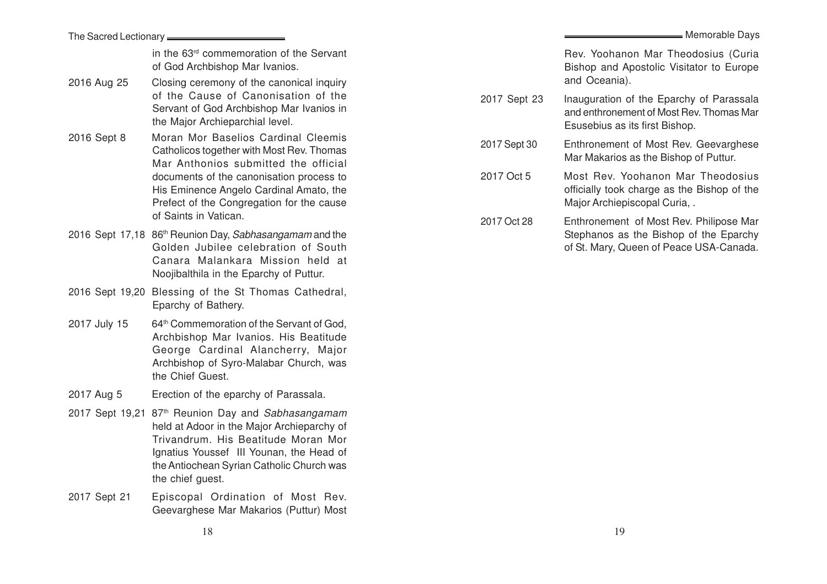in the 63rd commemoration of the Servant of God Archbishop Mar Ivanios.

2016 Aug 25 Closing ceremony of the canonical inquiry of the Cause of Canonisation of the Servant of God Archbishop Mar Ivanios in the Major Archieparchial level.

The Sacred Lectionary

- 2016 Sept 8 Moran Mor Baselios Cardinal Cleemis Catholicos together with Most Rev. Thomas Mar Anthonios submitted the official documents of the canonisation process to His Eminence Angelo Cardinal Amato, the Prefect of the Congregation for the cause of Saints in Vatican.
- 2016 Sept 17,18 86<sup>th</sup> Reunion Day, Sabhasangamam and the Golden Jubilee celebration of South Canara Malankara Mission held at Noojibalthila in the Eparchy of Puttur.
- 2016 Sept 19,20 Blessing of the St Thomas Cathedral, Eparchy of Bathery.
- 2017 July 15 64<sup>th</sup> Commemoration of the Servant of God, Archbishop Mar Ivanios. His Beatitude George Cardinal Alancherry, Major Archbishop of Syro-Malabar Church, was the Chief Guest.
- 2017 Aug 5 Erection of the eparchy of Parassala.
- 2017 Sept 19,21 87<sup>th</sup> Reunion Day and Sabhasangamam held at Adoor in the Major Archieparchy of Trivandrum. His Beatitude Moran Mor Ignatius Youssef III Younan, the Head of the Antiochean Syrian Catholic Church was the chief guest.
- 2017 Sept 21 Episcopal Ordination of Most Rev. Geevarghese Mar Makarios (Puttur) Most

Rev. Yoohanon Mar Theodosius (Curia Bishop and Apostolic Visitator to Europe and Oceania).

2017 Sept 23 Inauguration of the Eparchy of Parassala and enthronement of Most Rev. Thomas Mar Esusebius as its first Bishop.

2017 Sept 30 Enthronement of Most Rev. Geevarghese Mar Makarios as the Bishop of Puttur.

2017 Oct 5 Most Rev. Yoohanon Mar Theodosius officially took charge as the Bishop of the Major Archiepiscopal Curia, .

2017 Oct 28 Enthronement of Most Rev. Philipose Mar Stephanos as the Bishop of the Eparchy of St. Mary, Queen of Peace USA-Canada.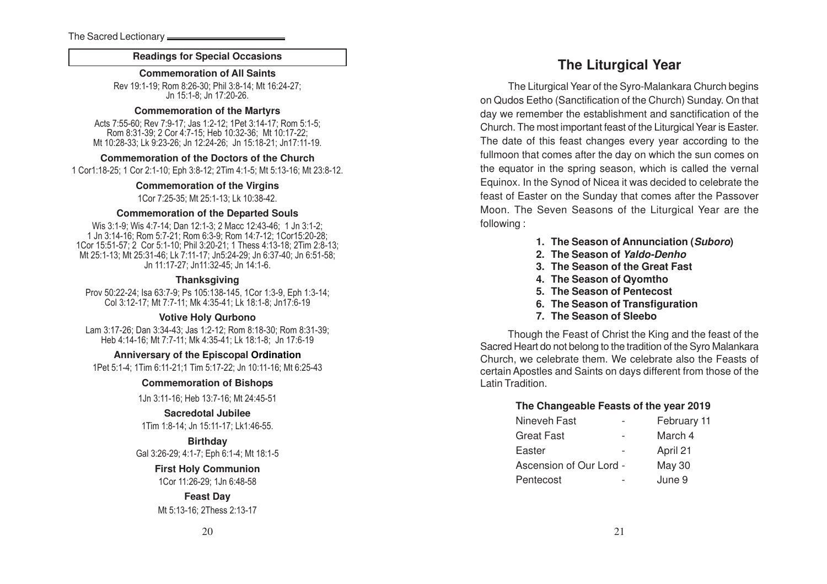#### **Readings for Special Occasions**

**Commemoration of All Saint s**

Rev 19:1-19; Rom 8:26-30; Phil 3:8-14; Mt 16:24-27; Jn 15:1-8; Jn 17:20-26.

#### **Commemoration of the Martyrs**

Acts 7:55-60; Rev 7:9-17; Jas 1:2-12; 1Pet 3:14-17; Rom 5:1-5; Rom 8:31-39; 2 Cor 4:7-15; Heb 10:32-36; Mt 10:17-22; Mt 10:28-33; Lk 9:23-26; Jn 12:24-26; Jn 15:18-21; Jn17:11-19.

#### **Commemoration of the Doctors of the Church**

1 Cor1:18-25; 1 Cor 2:1-10; Eph 3:8-12; 2Tim 4:1-5; Mt 5:13-16; Mt 23:8-12.

**Commemoration of the Virgins** 1Cor 7:25-35; Mt 25:1-13; Lk 10:38-42.

#### **Commemoration of the Departed Souls**

Wis 3:1-9; Wis 4:7-14; Dan 12:1-3; 2 Macc 12:43-46; 1 Jn 3:1-2; 1 Jn 3:14-16; Rom 5:7-21; Rom 6:3-9; Rom 14:7-12; 1Cor15:20-28; 1Cor 15:51-57; 2 Cor 5:1-10; Phil 3:20-21; 1 Thess 4:13-18; 2Tim 2:8-13; Mt 25:1-13; Mt 25:31-46; Lk 7:11-17; Jn5:24-29; Jn 6:37-40; Jn 6:51-58; Jn 11:17-27; Jn11:32-45; Jn 14:1-6.

#### **Thanksgiving**

Prov 50:22-24; Isa 63:7-9; Ps 105:138-145, 1Cor 1:3-9, Eph 1:3-14; Col 3:12-17; Mt 7:7-11; Mk 4:35-41; Lk 18:1-8; Jn17:6-19

#### **Votive Holy Qurbono**

Lam 3:17-26; Dan 3:34-43; Jas 1:2-12; Rom 8:18-30; Rom 8:31-39; Heb 4:14-16; Mt 7:7-11; Mk 4:35-41; Lk 18:1-8; Jn 17:6-19

**Anniversary of the Episcopal Ordination**

1Pet 5:1-4; 1Tim 6:11-21;1 Tim 5:17-22; Jn 10:11-16; Mt 6:25-43

#### **Commemoration of Bishop s**

1Jn 3:11-16; Heb 13:7-16; Mt 24:45-51

#### **Sacredotal Jubilee**

1Tim 1:8-14; Jn 15:11-17; Lk1:46-55.

### **Birthday**

Gal 3:26-29; 4:1-7; Eph 6:1-4; Mt 18:1-5

#### **First Holy Communion**

1Cor 11:26-29; 1Jn 6:48-58

## **Feast Day** Mt 5:13-16; 2Thess 2:13-17

## **The Liturgical Year**

The Liturgical Year of the Syro-Malankara Church begins on Qudos Eetho (Sanctification of the Church) Sunday. On that day we remember the establishment and sanctification of the Church. The most important feast of the Liturgical Year is Easter. The date of this feast changes every year according to the fullmoon that comes after the day on which the sun comes on the equator in the spring season, which is called the vernal Equinox. In the Synod of Nicea it was decided to celebrate the feast of Easter on the Sunday that comes after the Passover Moon. The Seven Seasons of the Liturgical Year are the following :

- **1. The Season of Annunciation (Suboro)**
- **2. The Season of Yaldo-Denho**
- **3. The Season of the Great Fast**
- **4. The Season of Qyomtho**
- **5. The Season of Pentecost**
- **6. The Season of Transfiguration**
- **7. The Season of Sleebo**

Though the Feast of Christ the King and the feast of the Sacred Heart do not belong to the tradition of the Syro Malankara Church, we celebrate them. We celebrate also the Feasts of certain Apostles and Saints on days different from those of the Latin Tradition.

#### **The Changeable Feasts of the year 2019**

|                         | February 11   |
|-------------------------|---------------|
|                         | March 4       |
|                         | April 21      |
| Ascension of Our Lord - | <b>May 30</b> |
|                         | June 9        |
|                         |               |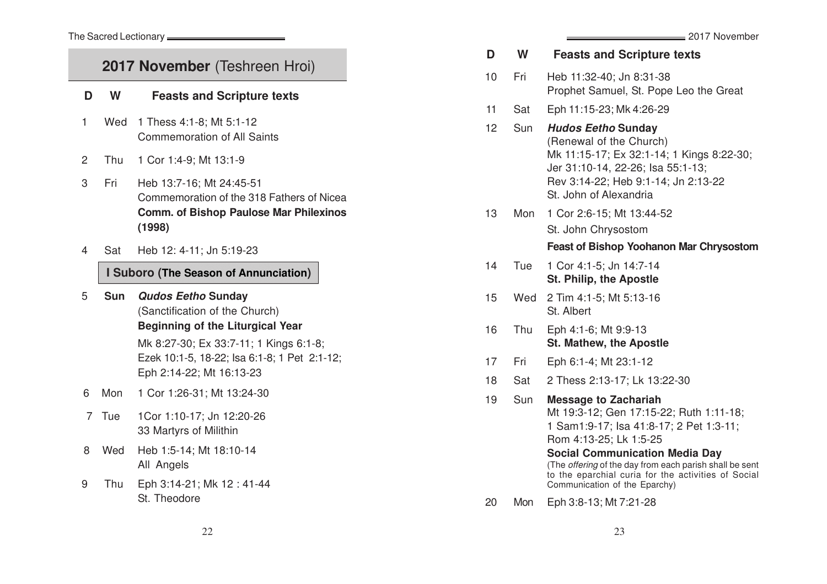## 2017 November (Teshreen Hroi)

## **D W Feasts and Scripture text s**

- 1 Wed 1 Thess 4:1-8; Mt 5:1-12 Commemoration of All Saint s
- 2 Thu 1 Cor 1:4-9; Mt 13:1-9
- 3 Fri Heb 13:7-16; Mt 24:45-51 Commemoration of the 318 Fathers of Nicea **Comm. of Bishop Paulose Mar Philexinos (1998)**
- 4 Sat Heb 12: 4-11; Jn 5:19-23

## **I Suboro (The Season of Annunciation)**

5 **Sun Qudos Eetho Sunday** (Sanctification of the Church) **Beginning of the Liturgical Year**

> Mk 8:27-30; Ex 33:7-11; 1 Kings 6:1-8; Ezek 10:1-5, 18-22; Isa 6:1-8; 1 Pet 2:1-12; Eph 2:14-22; Mt 16:13-23

- 6 Mon 1 Cor 1:26-31; Mt 13:24-30
- 7 Tue 1Cor 1:10-17; Jn 12:20-26 33 Martyrs of Milithin
- 8 Wed Heb 1:5-14; Mt 18:10-14 All Angels
- 9 Thu Eph 3:14-21; Mk 12 : 41-44 St. Theodore

|    |     | 2017 November                                                                                                                                                                                           |
|----|-----|---------------------------------------------------------------------------------------------------------------------------------------------------------------------------------------------------------|
| D  | W   | <b>Feasts and Scripture texts</b>                                                                                                                                                                       |
| 10 | Fri | Heb 11:32-40; Jn 8:31-38<br>Prophet Samuel, St. Pope Leo the Great                                                                                                                                      |
| 11 | Sat | Eph 11:15-23; Mk 4:26-29                                                                                                                                                                                |
| 12 | Sun | <b>Hudos Eetho Sunday</b><br>(Renewal of the Church)<br>Mk 11:15-17; Ex 32:1-14; 1 Kings 8:22-30;<br>Jer 31:10-14, 22-26; Isa 55:1-13;<br>Rev 3:14-22; Heb 9:1-14; Jn 2:13-22<br>St. John of Alexandria |
| 13 | Mon | 1 Cor 2:6-15; Mt 13:44-52                                                                                                                                                                               |
|    |     | St. John Chrysostom                                                                                                                                                                                     |
|    |     | <b>Feast of Bishop Yoohanon Mar Chrysostom</b>                                                                                                                                                          |
| 14 | Tue | 1 Cor 4:1-5; Jn 14:7-14<br><b>St. Philip, the Apostle</b>                                                                                                                                               |
| 15 | Wed | 2 Tim 4:1-5; Mt 5:13-16<br>St. Albert                                                                                                                                                                   |
| 16 | Thu | Eph 4:1-6; Mt 9:9-13<br><b>St. Mathew, the Apostle</b>                                                                                                                                                  |
| 17 | Fri | Eph 6:1-4; Mt 23:1-12                                                                                                                                                                                   |
| 18 | Sat | 2 Thess 2:13-17; Lk 13:22-30                                                                                                                                                                            |
| 19 | Sun | <b>Message to Zachariah</b><br>Mt 19:3-12; Gen 17:15-22; Ruth 1:11-18;<br>1 Sam1:9-17; Isa 41:8-17; 2 Pet 1:3-11;<br>Rom 4:13-25; Lk 1:5-25                                                             |

#### **Social Communication Media Day** (The offering of the day from each parish shall be sent to the eparchial curia for the activities of Social Communication of the Eparchy)

20 Mon Eph 3:8-13; Mt 7:21-28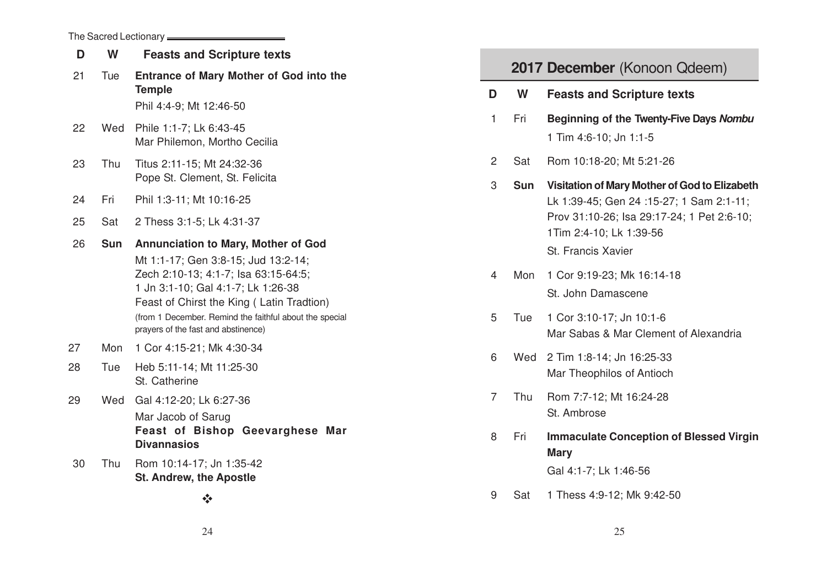## The Sacred Lectionary

| D  | W          | <b>Feasts and Scripture texts</b>                                               |                |                              |                                                               |  |
|----|------------|---------------------------------------------------------------------------------|----------------|------------------------------|---------------------------------------------------------------|--|
| 21 | Tue        | Entrance of Mary Mother of God into the                                         |                | 2017 December (Konoon Qdeem) |                                                               |  |
|    |            | <b>Temple</b>                                                                   | D              | W                            | <b>Feasts and Scripture texts</b>                             |  |
|    |            | Phil 4:4-9; Mt 12:46-50                                                         | 1              | Fri                          | Beginning of the Twenty-Five Days Nombu                       |  |
| 22 | Wed        | Phile 1:1-7; Lk 6:43-45<br>Mar Philemon, Mortho Cecilia                         |                |                              | 1 Tim 4:6-10; Jn 1:1-5                                        |  |
| 23 | Thu        | Titus 2:11-15; Mt 24:32-36                                                      | 2              | Sat                          | Rom 10:18-20; Mt 5:21-26                                      |  |
|    |            | Pope St. Clement, St. Felicita                                                  | 3              | Sun                          | Visitation of Mary Mother of God to Elizabeth                 |  |
| 24 | Fri        | Phil 1:3-11; Mt 10:16-25                                                        |                |                              | Lk 1:39-45; Gen 24 :15-27; 1 Sam 2:1-11;                      |  |
| 25 | Sat        | 2 Thess 3:1-5; Lk 4:31-37                                                       |                |                              | Prov 31:10-26; Isa 29:17-24; 1 Pet 2:6-10;                    |  |
| 26 | <b>Sun</b> | <b>Annunciation to Mary, Mother of God</b>                                      |                |                              | 1Tim 2:4-10; Lk 1:39-56                                       |  |
|    |            | Mt 1:1-17; Gen 3:8-15; Jud 13:2-14;                                             |                |                              | St. Francis Xavier                                            |  |
|    |            | Zech 2:10-13; 4:1-7; Isa 63:15-64:5;                                            | 4              | Mon                          | 1 Cor 9:19-23; Mk 16:14-18                                    |  |
|    |            | 1 Jn 3:1-10; Gal 4:1-7; Lk 1:26-38<br>Feast of Chirst the King (Latin Tradtion) |                |                              | St. John Damascene                                            |  |
|    |            | (from 1 December. Remind the faithful about the special                         | 5              | Tue                          | 1 Cor 3:10-17; Jn 10:1-6                                      |  |
|    |            | prayers of the fast and abstinence)                                             |                |                              | Mar Sabas & Mar Clement of Alexandria                         |  |
| 27 | Mon        | 1 Cor 4:15-21; Mk 4:30-34                                                       | 6              | Wed                          | 2 Tim 1:8-14; Jn 16:25-33                                     |  |
| 28 | Tue        | Heb 5:11-14; Mt 11:25-30<br>St. Catherine                                       |                |                              | Mar Theophilos of Antioch                                     |  |
| 29 | Wed        | Gal 4:12-20; Lk 6:27-36                                                         | $\overline{7}$ | Thu                          | Rom 7:7-12; Mt 16:24-28                                       |  |
|    |            | Mar Jacob of Sarug                                                              |                |                              | St. Ambrose                                                   |  |
|    |            | Feast of Bishop Geevarghese Mar<br><b>Divannasios</b>                           | 8              | Fri                          | <b>Immaculate Conception of Blessed Virgin</b><br><b>Mary</b> |  |
| 30 | Thu        | Rom 10:14-17; Jn 1:35-42<br><b>St. Andrew, the Apostle</b>                      |                |                              | Gal 4:1-7; Lk 1:46-56                                         |  |
|    |            | $\frac{1}{2}$                                                                   | 9              | Sat                          | 1 Thess 4:9-12; Mk 9:42-50                                    |  |
|    |            |                                                                                 |                |                              |                                                               |  |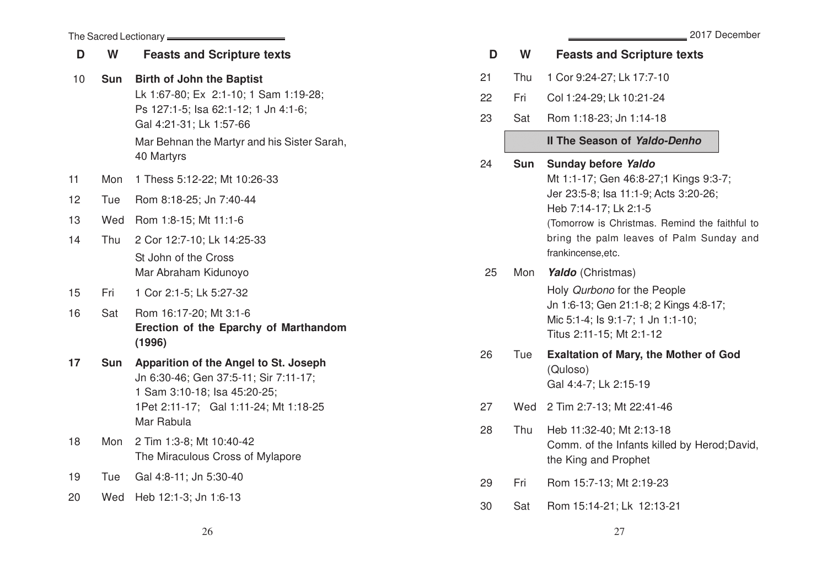|                 |            | The Sacred Lectionary <b>______________________</b>                                                                |    |            | 2017 December                                                                                           |
|-----------------|------------|--------------------------------------------------------------------------------------------------------------------|----|------------|---------------------------------------------------------------------------------------------------------|
| D               | W          | <b>Feasts and Scripture texts</b>                                                                                  | D  | W          | <b>Feasts and Scripture texts</b>                                                                       |
| 10 <sub>1</sub> | Sun        | <b>Birth of John the Baptist</b>                                                                                   | 21 | Thu        | 1 Cor 9:24-27; Lk 17:7-10                                                                               |
|                 |            | Lk 1:67-80; Ex 2:1-10; 1 Sam 1:19-28;                                                                              | 22 | Fri        | Col 1:24-29; Lk 10:21-24                                                                                |
|                 |            | Ps 127:1-5; lsa 62:1-12; 1 Jn 4:1-6;<br>Gal 4:21-31; Lk 1:57-66                                                    | 23 | Sat        | Rom 1:18-23; Jn 1:14-18                                                                                 |
|                 |            | Mar Behnan the Martyr and his Sister Sarah,<br>40 Martyrs                                                          |    |            | Il The Season of Yaldo-Denho                                                                            |
| 11<br>12        | Mon<br>Tue | 1 Thess 5:12-22; Mt 10:26-33<br>Rom 8:18-25; Jn 7:40-44                                                            | 24 | <b>Sun</b> | Sunday before Yaldo<br>Mt 1:1-17; Gen 46:8-27;1 Kings 9:3-7;<br>Jer 23:5-8; Isa 11:1-9; Acts 3:20-26;   |
| 13              | Wed        | Rom 1:8-15; Mt 11:1-6                                                                                              |    |            | Heb 7:14-17; Lk 2:1-5                                                                                   |
| 14              | Thu        | 2 Cor 12:7-10; Lk 14:25-33                                                                                         |    |            | (Tomorrow is Christmas. Remind the faithful to<br>bring the palm leaves of Palm Sunday and              |
|                 |            | St John of the Cross<br>Mar Abraham Kidunoyo                                                                       | 25 | Mon        | frankincense, etc.<br>Yaldo (Christmas)                                                                 |
| 15              | Fri        | 1 Cor 2:1-5; Lk 5:27-32                                                                                            |    |            | Holy Qurbono for the People                                                                             |
| 16              | Sat        | Rom 16:17-20; Mt 3:1-6<br>Erection of the Eparchy of Marthandom<br>(1996)                                          |    |            | Jn 1:6-13; Gen 21:1-8; 2 Kings 4:8-17;<br>Mic 5:1-4; ls 9:1-7; 1 Jn 1:1-10;<br>Titus 2:11-15; Mt 2:1-12 |
| 17              |            | Sun Apparition of the Angel to St. Joseph<br>Jn 6:30-46; Gen 37:5-11; Sir 7:11-17;<br>1 Sam 3:10-18; Isa 45:20-25; | 26 | Tue        | <b>Exaltation of Mary, the Mother of God</b><br>(Quloso)<br>Gal 4:4-7; Lk 2:15-19                       |
|                 |            | 1Pet 2:11-17; Gal 1:11-24; Mt 1:18-25                                                                              | 27 |            | Wed 2 Tim 2:7-13; Mt 22:41-46                                                                           |
| 18              | Mon        | Mar Rabula<br>2 Tim 1:3-8; Mt 10:40-42<br>The Miraculous Cross of Mylapore                                         | 28 | Thu        | Heb 11:32-40; Mt 2:13-18<br>Comm. of the Infants killed by Herod; David,<br>the King and Prophet        |
| 19              | Tue        | Gal 4:8-11; Jn 5:30-40                                                                                             | 29 | Fri        | Rom 15:7-13; Mt 2:19-23                                                                                 |
| 20              | Wed        | Heb 12:1-3; Jn 1:6-13                                                                                              | 30 | Sat        | Rom 15:14-21; Lk 12:13-21                                                                               |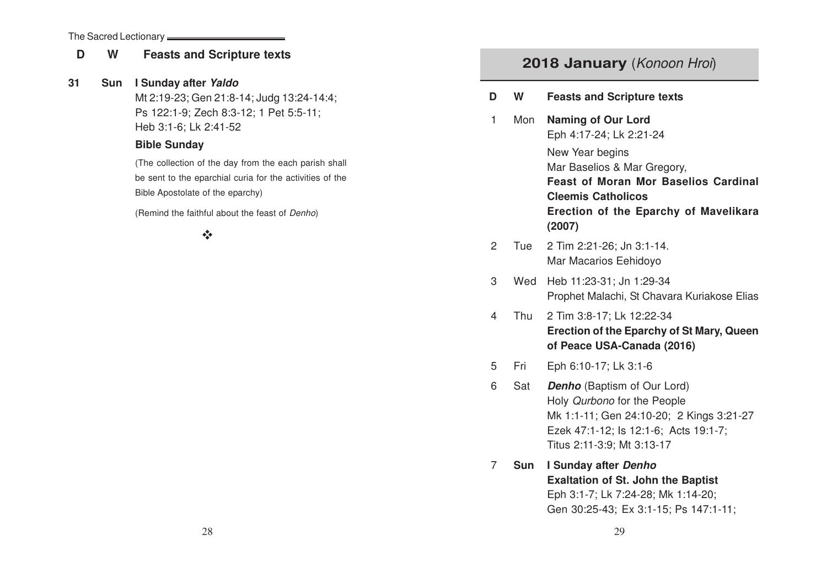#### The Sacred Lectionary

## **<sup>D</sup> <sup>W</sup> Feasts and Scripture texts**

## **31 Sun I Sunday after Yaldo**

Mt 2:19-23; Gen 21:8-14; Judg 13:24-14:4; Ps 122:1-9; Zech 8:3-12; 1 Pet 5:5-11; Heb 3:1-6; Lk 2:41-52

## **Bible Sunday**

(The collection of the day from the each parish shall be sent to the eparchial curia for the activities of the Bible Apostolate of the eparchy)

(Remind the faithful about the feast of Denho)

## $v_{\rm A}$

## **2018 January** (Konoon Hroi)

- **<sup>D</sup> <sup>W</sup> Feasts and Scripture texts**
- 1 Mon **Naming of Our Lord** Eph 4:17-24; Lk 2:21-24 New Year begins Mar Baselios & Mar Gregory, **Feast of Moran Mor Baselios Cardinal Cleemis Catholicos Erection of the Eparchy of Mavelikara (2007)**
- 2 Tue 2 Tim 2:21-26; Jn 3:1-14. Mar Macarios Eehidoyo
- 3 Wed Heb 11:23-31; Jn 1:29-34 Prophet Malachi, St Chavara Kuriakose Elias
- 4 Thu 2 Tim 3:8-17; Lk 12:22-34 **Erection of the Eparchy of St Mary, Queen of Peace USA-Canada (2016)**
- 5 Fri Eph 6:10-17; Lk 3:1-6
- 6 Sat **Denho** (Baptism of Our Lord) Holy Qurbono for the People Mk 1:1-11; Gen 24:10-20; 2 Kings 3:21-27 Ezek 47:1-12; Is 12:1-6; Acts 19:1-7; Titus 2:11-3:9; Mt 3:13-17
- 7 **Sun I Sunday after Denho Exaltation of St. John the Baptist** Eph 3:1-7; Lk 7:24-28; Mk 1:14-20; Gen 30:25-43; Ex 3:1-15; Ps 147:1-11;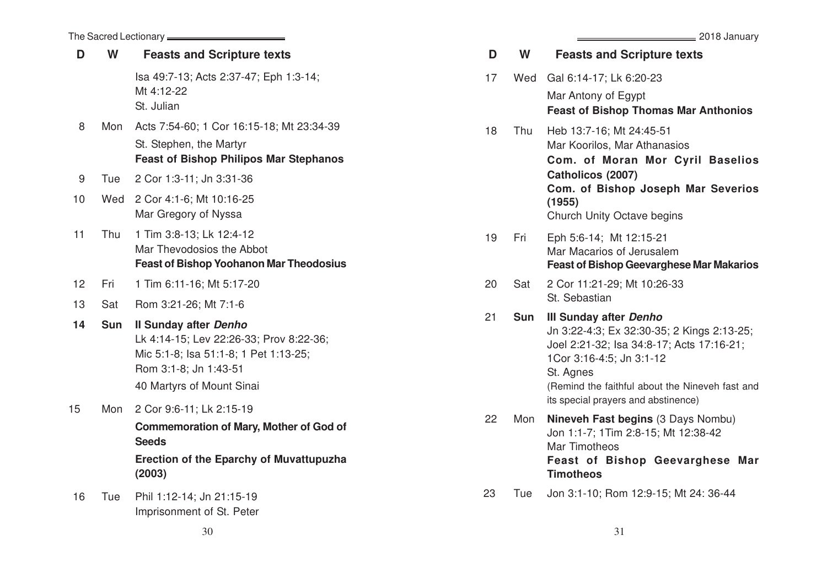|    |            | The Sacred Lectionary <b>________</b>                                                                                                                                  |    |            |                                                |
|----|------------|------------------------------------------------------------------------------------------------------------------------------------------------------------------------|----|------------|------------------------------------------------|
| D  | W          | <b>Feasts and Scripture texts</b>                                                                                                                                      | D  | W          |                                                |
|    |            | Isa 49:7-13; Acts 2:37-47; Eph 1:3-14;<br>Mt 4:12-22<br>St. Julian                                                                                                     | 17 | Wed        | G<br>Ν<br>F                                    |
| 8  | Mon        | Acts 7:54-60; 1 Cor 16:15-18; Mt 23:34-39<br>St. Stephen, the Martyr<br><b>Feast of Bishop Philipos Mar Stephanos</b>                                                  | 18 | Thu        | ⊦<br>Ν<br>$\mathsf{C}$                         |
| 9  | Tue        | 2 Cor 1:3-11; Jn 3:31-36                                                                                                                                               |    |            | $\mathsf{C}$                                   |
| 10 | Wed        | 2 Cor 4:1-6; Mt 10:16-25<br>Mar Gregory of Nyssa                                                                                                                       |    |            | $\mathsf{C}$<br>$\overline{(\cdot)}$<br>C      |
| 11 | Thu        | 1 Tim 3:8-13; Lk 12:4-12<br>Mar Thevodosios the Abbot<br><b>Feast of Bishop Yoohanon Mar Theodosius</b>                                                                | 19 | Fri        | Е<br>Ν<br>F                                    |
| 12 | Fri        | 1 Tim 6:11-16; Mt 5:17-20                                                                                                                                              | 20 | Sat        | $\overline{c}$                                 |
| 13 | Sat        | Rom 3:21-26; Mt 7:1-6                                                                                                                                                  |    |            | S                                              |
| 14 | <b>Sun</b> | <b>Il Sunday after Denho</b><br>Lk 4:14-15; Lev 22:26-33; Prov 8:22-36;<br>Mic 5:1-8; Isa 51:1-8; 1 Pet 1:13-25;<br>Rom 3:1-8; Jn 1:43-51<br>40 Martyrs of Mount Sinai | 21 | <b>Sun</b> | Ш<br>J<br>J<br>1<br>S<br>$\left(\right)$<br>it |
| 15 | Mon        | 2 Cor 9:6-11; Lk 2:15-19<br><b>Commemoration of Mary, Mother of God of</b><br><b>Seeds</b><br><b>Erection of the Eparchy of Muvattupuzha</b><br>(2003)                 | 22 | Mon        | N<br>J<br>N<br>F<br>T                          |
| 16 | Tue        | Phil 1:12-14; Jn 21:15-19<br>Imprisonment of St. Peter                                                                                                                 | 23 | Tue        | J                                              |

 $=$  2018 January

| D  | W          | <b>Feasts and Scripture texts</b>                                                                                                                                                                                                                           |
|----|------------|-------------------------------------------------------------------------------------------------------------------------------------------------------------------------------------------------------------------------------------------------------------|
| 17 | Wed        | Gal 6:14-17; Lk 6:20-23<br>Mar Antony of Egypt<br><b>Feast of Bishop Thomas Mar Anthonios</b>                                                                                                                                                               |
| 18 | Thu        | Heb 13:7-16; Mt 24:45-51<br>Mar Koorilos, Mar Athanasios<br>Com. of Moran Mor Cyril Baselios<br>Catholicos (2007)<br>Com. of Bishop Joseph Mar Severios<br>(1955)<br>Church Unity Octave begins                                                             |
| 19 | Fri        | Eph 5:6-14; Mt 12:15-21<br>Mar Macarios of Jerusalem<br><b>Feast of Bishop Geevarghese Mar Makarios</b>                                                                                                                                                     |
| 20 | Sat        | 2 Cor 11:21-29; Mt 10:26-33<br>St. Sebastian                                                                                                                                                                                                                |
| 21 | <b>Sun</b> | <b>III Sunday after Denho</b><br>Jn 3:22-4:3; Ex 32:30-35; 2 Kings 2:13-25;<br>Joel 2:21-32; Isa 34:8-17; Acts 17:16-21;<br>1Cor 3:16-4:5; Jn 3:1-12<br>St. Agnes<br>(Remind the faithful about the Nineveh fast and<br>its special prayers and abstinence) |
| 22 | Mon        | Nineveh Fast begins (3 Days Nombu)<br>Jon 1:1-7; 1Tim 2:8-15; Mt 12:38-42<br>Mar Timotheos<br>Feast of Bishop Geevarghese Mar<br><b>Timotheos</b>                                                                                                           |
| 23 | Tue        | Jon 3:1-10; Rom 12:9-15; Mt 24: 36-44                                                                                                                                                                                                                       |

the control of the control of the

 $30 \hspace{2.5cm} 31$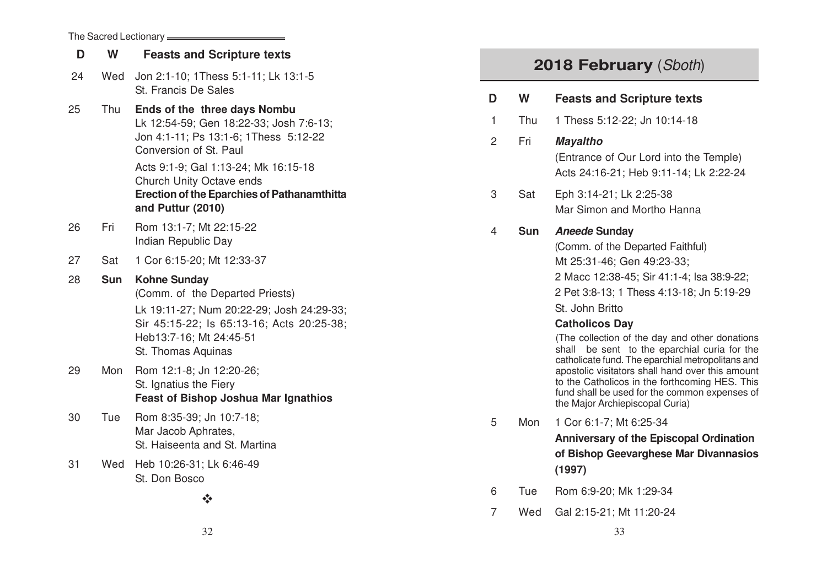| The Sacred Lectionary _____ |            |                                                                                                                                                                                                                                                                                           |  |  |  |
|-----------------------------|------------|-------------------------------------------------------------------------------------------------------------------------------------------------------------------------------------------------------------------------------------------------------------------------------------------|--|--|--|
| D                           | W          | <b>Feasts and Scripture texts</b>                                                                                                                                                                                                                                                         |  |  |  |
| 24                          | Wed        | Jon 2:1-10; 1Thess 5:1-11; Lk 13:1-5<br>St. Francis De Sales                                                                                                                                                                                                                              |  |  |  |
| 25                          | Thu        | Ends of the three days Nombu<br>Lk 12:54-59; Gen 18:22-33; Josh 7:6-13;<br>Jon 4:1-11; Ps 13:1-6; 1Thess 5:12-22<br>Conversion of St. Paul<br>Acts 9:1-9; Gal 1:13-24; Mk 16:15-18<br>Church Unity Octave ends<br><b>Erection of the Eparchies of Pathanamthitta</b><br>and Puttur (2010) |  |  |  |
| 26                          | Fri        | Rom 13:1-7; Mt 22:15-22<br>Indian Republic Day                                                                                                                                                                                                                                            |  |  |  |
| 27                          | Sat        | 1 Cor 6:15-20; Mt 12:33-37                                                                                                                                                                                                                                                                |  |  |  |
| 28                          | <b>Sun</b> | <b>Kohne Sunday</b><br>(Comm. of the Departed Priests)<br>Lk 19:11-27; Num 20:22-29; Josh 24:29-33;<br>Sir 45:15-22; ls 65:13-16; Acts 20:25-38;<br>Heb13:7-16; Mt 24:45-51<br>St. Thomas Aquinas                                                                                         |  |  |  |
| 29                          | Mon        | Rom 12:1-8; Jn 12:20-26;<br>St. Ignatius the Fiery<br><b>Feast of Bishop Joshua Mar Ignathios</b>                                                                                                                                                                                         |  |  |  |
| 30                          | Tue        | Rom 8:35-39; Jn 10:7-18;<br>Mar Jacob Aphrates,<br>St. Haiseenta and St. Martina                                                                                                                                                                                                          |  |  |  |
| 31                          | Wed        | Heb 10:26-31; Lk 6:46-49<br>St. Don Bosco<br>∗∑∙                                                                                                                                                                                                                                          |  |  |  |

# 2018 February (Sboth)

| : Sales                                             | D              | W          | <b>Feasts and Scripture texts</b>                                                                                                                                                      |
|-----------------------------------------------------|----------------|------------|----------------------------------------------------------------------------------------------------------------------------------------------------------------------------------------|
| three days Nombu                                    |                |            |                                                                                                                                                                                        |
| Gen 18:22-33; Josh 7:6-13;                          | 1              | Thu        | 1 Thess 5:12-22; Jn 10:14-18                                                                                                                                                           |
| 3 13:1-6; 1Thess 5:12-22<br>St. Paul                | $\overline{2}$ | Fri        | <b>Mayaltho</b><br>(Entrance of Our Lord into the Temple)                                                                                                                              |
| al 1:13-24; Mk 16:15-18<br>Octave ends              |                |            | Acts 24:16-21; Heb 9:11-14; Lk 2:22-24                                                                                                                                                 |
| <b>Eparchies of Pathanamthitta</b><br>010)          | 3              | Sat        | Eph 3:14-21; Lk 2:25-38<br>Mar Simon and Mortho Hanna                                                                                                                                  |
| At 22:15-22<br>ic Day                               | 4              | <b>Sun</b> | <b>Aneede Sunday</b>                                                                                                                                                                   |
| ; Mt 12:33-37                                       |                |            | (Comm. of the Departed Faithful)<br>Mt 25:31-46; Gen 49:23-33;                                                                                                                         |
| y                                                   |                |            | 2 Macc 12:38-45; Sir 41:1-4; Isa 38:9-22;                                                                                                                                              |
| e Departed Priests)<br>Jum 20:22-29; Josh 24:29-33; |                |            | 2 Pet 3:8-13: 1 Thess 4:13-18: Jn 5:19-29<br>St. John Britto                                                                                                                           |
| Is 65:13-16; Acts 20:25-38;                         |                |            | <b>Catholicos Day</b>                                                                                                                                                                  |
| /lt 24:45-51<br>quinas                              |                |            | (The collection of the day and other donations<br>shall be sent to the eparchial curia for the<br>catholicate fund. The eparchial metropolitans and                                    |
| In 12:20-26;<br>e Fiery<br>op Joshua Mar Ignathios  |                |            | apostolic visitators shall hand over this amount<br>to the Catholicos in the forthcoming HES. This<br>fund shall be used for the common expenses of<br>the Major Archiepiscopal Curia) |
| Jn 10:7-18;                                         | 5              | Mon        | 1 Cor 6:1-7; Mt 6:25-34                                                                                                                                                                |
| hrates,<br>and St. Martina                          |                |            | <b>Anniversary of the Episcopal Ordination</b><br>of Bishop Geevarghese Mar Divannasios                                                                                                |
| : Lk 6:46-49                                        |                |            | (1997)                                                                                                                                                                                 |
| ❖                                                   | 6              | Tue        | Rom 6:9-20; Mk 1:29-34                                                                                                                                                                 |
|                                                     | $\overline{7}$ | Wed        | Gal 2:15-21; Mt 11:20-24                                                                                                                                                               |
| 32                                                  |                |            | 33                                                                                                                                                                                     |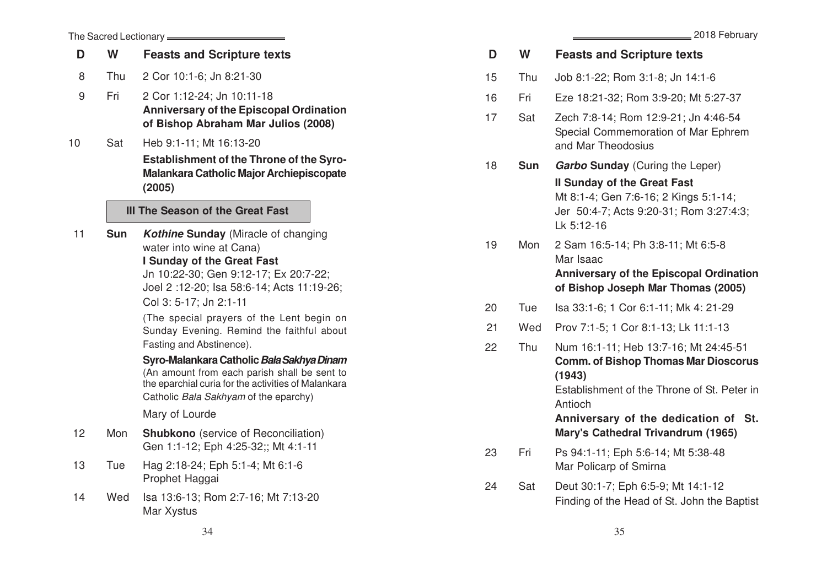|  |  |  | 2018 February |
|--|--|--|---------------|
|--|--|--|---------------|

| The Sacred Lectionary <b></b> |     |                                                                                                                                                                                                                                                                                                                                                                                                                                                                                                                                                           |  |  |  |  |
|-------------------------------|-----|-----------------------------------------------------------------------------------------------------------------------------------------------------------------------------------------------------------------------------------------------------------------------------------------------------------------------------------------------------------------------------------------------------------------------------------------------------------------------------------------------------------------------------------------------------------|--|--|--|--|
| D                             | W   | <b>Feasts and Scripture texts</b>                                                                                                                                                                                                                                                                                                                                                                                                                                                                                                                         |  |  |  |  |
| 8                             | Thu | 2 Cor 10:1-6; Jn 8:21-30                                                                                                                                                                                                                                                                                                                                                                                                                                                                                                                                  |  |  |  |  |
| 9                             | Fri | 2 Cor 1:12-24; Jn 10:11-18<br><b>Anniversary of the Episcopal Ordination</b><br>of Bishop Abraham Mar Julios (2008)                                                                                                                                                                                                                                                                                                                                                                                                                                       |  |  |  |  |
| 10                            | Sat | Heb 9:1-11; Mt 16:13-20<br><b>Establishment of the Throne of the Syro-</b><br>Malankara Catholic Major Archiepiscopate<br>(2005)                                                                                                                                                                                                                                                                                                                                                                                                                          |  |  |  |  |
|                               |     | III The Season of the Great Fast                                                                                                                                                                                                                                                                                                                                                                                                                                                                                                                          |  |  |  |  |
| 11                            | Sun | <b>Kothine Sunday</b> (Miracle of changing<br>water into wine at Cana)<br>I Sunday of the Great Fast<br>Jn 10:22-30; Gen 9:12-17; Ex 20:7-22;<br>Joel 2:12-20; Isa 58:6-14; Acts 11:19-26;<br>Col 3: 5-17; Jn 2:1-11<br>(The special prayers of the Lent begin on<br>Sunday Evening. Remind the faithful about<br>Fasting and Abstinence).<br>Syro-Malankara Catholic Bala Sakhya Dinam<br>(An amount from each parish shall be sent to<br>the eparchial curia for the activities of Malankara<br>Catholic Bala Sakhyam of the eparchy)<br>Mary of Lourde |  |  |  |  |
| 12                            | Mon | <b>Shubkono</b> (service of Reconciliation)<br>Gen 1:1-12; Eph 4:25-32;; Mt 4:1-11                                                                                                                                                                                                                                                                                                                                                                                                                                                                        |  |  |  |  |
| 13                            | Tue | Hag 2:18-24; Eph 5:1-4; Mt 6:1-6<br>Prophet Haggai                                                                                                                                                                                                                                                                                                                                                                                                                                                                                                        |  |  |  |  |
| 14                            | Wed | Isa 13:6-13; Rom 2:7-16; Mt 7:13-20<br>Mar Xystus                                                                                                                                                                                                                                                                                                                                                                                                                                                                                                         |  |  |  |  |

| D  | W          | <b>Feasts and Scripture texts</b>                                                                                                                        |
|----|------------|----------------------------------------------------------------------------------------------------------------------------------------------------------|
| 15 | Thu        | Job 8:1-22; Rom 3:1-8; Jn 14:1-6                                                                                                                         |
| 16 | Fri        | Eze 18:21-32; Rom 3:9-20; Mt 5:27-37                                                                                                                     |
| 17 | Sat        | Zech 7:8-14; Rom 12:9-21; Jn 4:46-54<br>Special Commemoration of Mar Ephrem<br>and Mar Theodosius                                                        |
| 18 | <b>Sun</b> | <b>Garbo Sunday</b> (Curing the Leper)                                                                                                                   |
|    |            | <b>Il Sunday of the Great Fast</b><br>Mt 8:1-4; Gen 7:6-16; 2 Kings 5:1-14;<br>Jer 50:4-7; Acts 9:20-31; Rom 3:27:4:3;<br>Lk 5:12-16                     |
| 19 | Mon        | 2 Sam 16:5-14; Ph 3:8-11; Mt 6:5-8<br>Mar Isaac<br><b>Anniversary of the Episcopal Ordination</b><br>of Bishop Joseph Mar Thomas (2005)                  |
| 20 | Tue        | Isa 33:1-6; 1 Cor 6:1-11; Mk 4: 21-29                                                                                                                    |
| 21 | Wed        | Prov 7:1-5; 1 Cor 8:1-13; Lk 11:1-13                                                                                                                     |
| 22 | Thu        | Num 16:1-11; Heb 13:7-16; Mt 24:45-51<br><b>Comm. of Bishop Thomas Mar Dioscorus</b><br>(1943)<br>Establishment of the Throne of St. Peter in<br>Antioch |
|    |            | Anniversary of the dedication of St.<br>Mary's Cathedral Trivandrum (1965)                                                                               |
| 23 | Fri        | Ps 94:1-11; Eph 5:6-14; Mt 5:38-48<br>Mar Policarp of Smirna                                                                                             |
| 24 | Sat        | Deut 30:1-7; Eph 6:5-9; Mt 14:1-12<br>Finding of the Head of St. John the Baptist                                                                        |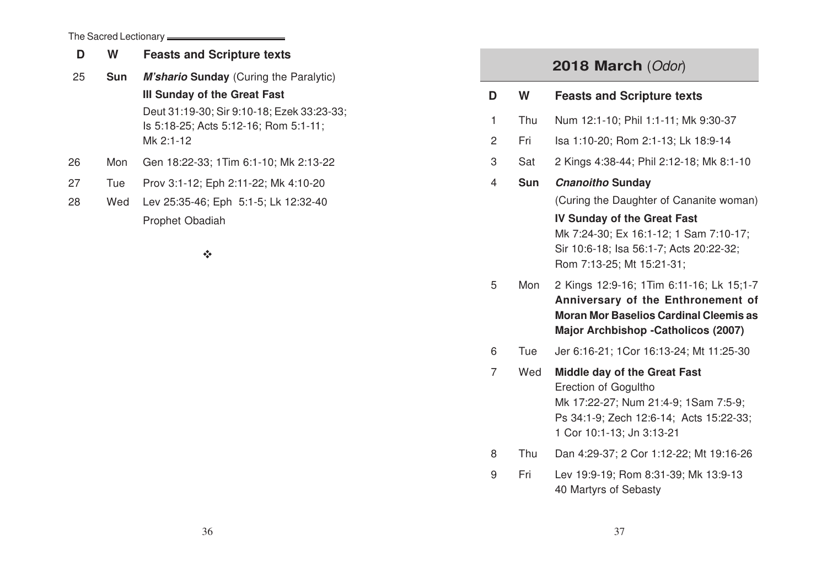The Sacred Lectionary **\_\_\_\_\_\_\_\_\_\_\_\_\_\_\_\_\_\_\_\_\_\_\_** 

| D  | W          | <b>Feasts and Scripture texts</b>                                                                |
|----|------------|--------------------------------------------------------------------------------------------------|
| 25 | <b>Sun</b> | <b>M'shario Sunday</b> (Curing the Paralytic)                                                    |
|    |            | III Sunday of the Great Fast                                                                     |
|    |            | Deut 31:19-30; Sir 9:10-18; Ezek 33:23-33;<br>Is 5:18-25; Acts 5:12-16; Rom 5:1-11;<br>Mk 2:1-12 |
| 26 | Mon        | Gen 18:22-33; 1Tim 6:1-10; Mk 2:13-22                                                            |
| 27 | Tue        | Prov 3:1-12; Eph 2:11-22; Mk 4:10-20                                                             |
| 28 | Wed        | Lev 25:35-46; Eph 5:1-5; Lk 12:32-40                                                             |
|    |            | Prophet Obadiah                                                                                  |

 $\mathcal{L}^{\bullet}_{\mathbf{c}^{\bullet}}$ 

## **2018 March** (Odor)

| D | W          | <b>Feasts and Scripture texts</b>                                                                                                                                           |
|---|------------|-----------------------------------------------------------------------------------------------------------------------------------------------------------------------------|
| 1 | Thu        | Num 12:1-10; Phil 1:1-11; Mk 9:30-37                                                                                                                                        |
| 2 | Fri        | Isa 1:10-20; Rom 2:1-13; Lk 18:9-14                                                                                                                                         |
| 3 | Sat        | 2 Kings 4:38-44; Phil 2:12-18; Mk 8:1-10                                                                                                                                    |
| 4 | <b>Sun</b> | <b>Cnanoitho Sunday</b>                                                                                                                                                     |
|   |            | (Curing the Daughter of Cananite woman)                                                                                                                                     |
|   |            | <b>IV Sunday of the Great Fast</b><br>Mk 7:24-30; Ex 16:1-12; 1 Sam 7:10-17;<br>Sir 10:6-18; Isa 56:1-7; Acts 20:22-32;<br>Rom 7:13-25; Mt 15:21-31;                        |
| 5 | Mon        | 2 Kings 12:9-16; 1Tim 6:11-16; Lk 15;1-7<br>Anniversary of the Enthronement of<br><b>Moran Mor Baselios Cardinal Cleemis as</b><br>Major Archbishop - Catholicos (2007)     |
| 6 | Tue        | Jer 6:16-21; 1Cor 16:13-24; Mt 11:25-30                                                                                                                                     |
| 7 | Wed        | <b>Middle day of the Great Fast</b><br>Erection of Gogultho<br>Mk 17:22-27; Num 21:4-9; 1Sam 7:5-9;<br>Ps 34:1-9; Zech 12:6-14; Acts 15:22-33;<br>1 Cor 10:1-13; Jn 3:13-21 |
| 8 | Thu        | Dan 4:29-37; 2 Cor 1:12-22; Mt 19:16-26                                                                                                                                     |

9 Fri Lev 19:9-19; Rom 8:31-39; Mk 13:9-13 40 Martyrs of Sebasty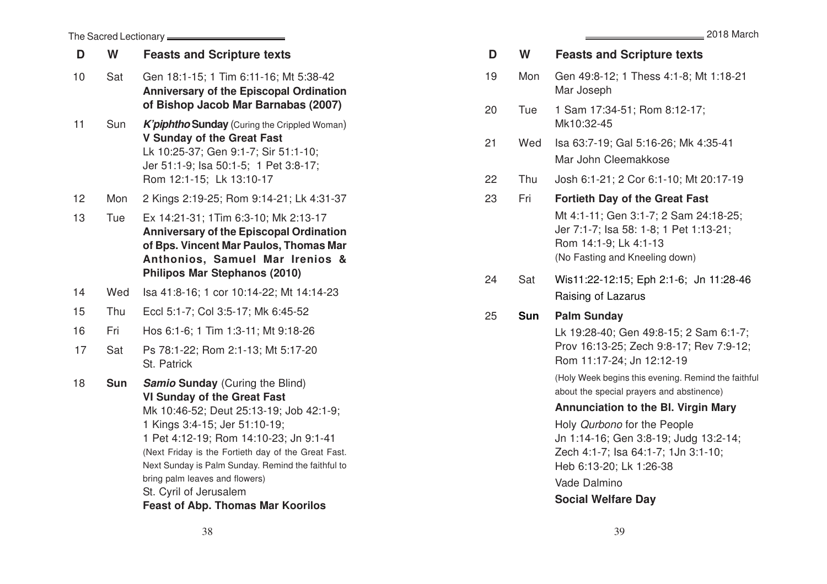| D  | W          | <b>Feasts and Scripture texts</b>                                                                                                                                                                                                                                                                                     |
|----|------------|-----------------------------------------------------------------------------------------------------------------------------------------------------------------------------------------------------------------------------------------------------------------------------------------------------------------------|
| 19 | Mon        | Gen 49:8-12; 1 Thess 4:1-8; Mt 1:18-21<br>Mar Joseph                                                                                                                                                                                                                                                                  |
| 20 | Tue        | 1 Sam 17:34-51; Rom 8:12-17;<br>Mk10:32-45                                                                                                                                                                                                                                                                            |
| 21 | Wed        | Isa 63:7-19; Gal 5:16-26; Mk 4:35-41<br>Mar John Cleemakkose                                                                                                                                                                                                                                                          |
| 22 | Thu        | Josh 6:1-21; 2 Cor 6:1-10; Mt 20:17-19                                                                                                                                                                                                                                                                                |
| 23 | Fri        | <b>Fortieth Day of the Great Fast</b><br>Mt 4:1-11; Gen 3:1-7; 2 Sam 24:18-25;<br>Jer 7:1-7; Isa 58: 1-8; 1 Pet 1:13-21;<br>Rom 14:1-9; Lk 4:1-13<br>(No Fasting and Kneeling down)                                                                                                                                   |
| 24 | Sat        | Wis11:22-12:15; Eph 2:1-6; Jn 11:28-46<br>Raising of Lazarus                                                                                                                                                                                                                                                          |
| 25 | <b>Sun</b> | <b>Palm Sunday</b><br>Lk 19:28-40; Gen 49:8-15; 2 Sam 6:1-7;<br>Prov 16:13-25; Zech 9:8-17; Rev 7:9-12;<br>Rom 11:17-24; Jn 12:12-19<br>(Holy Week begins this evening. Remind the faithful<br>about the special prayers and abstinence)<br><b>Annunciation to the BI. Virgin Mary</b><br>Holy Qurbono for the People |
|    |            | Jn 1:14-16; Gen 3:8-19; Judg 13:2-14;<br>Zech 4:1-7; Isa 64:1-7; 1Jn 3:1-10;<br>Heb 6:13-20; Lk 1:26-38<br>Vade Dalmino<br><b>Social Welfare Day</b>                                                                                                                                                                  |
|    |            |                                                                                                                                                                                                                                                                                                                       |

2018 March

| 14 | Wed        | Isa 41:8-16; 1 cor 10:14-22; Mt 14:14-23                                                                                                                                                                                                                                                                                                          |
|----|------------|---------------------------------------------------------------------------------------------------------------------------------------------------------------------------------------------------------------------------------------------------------------------------------------------------------------------------------------------------|
| 15 | Thu        | Eccl 5:1-7; Col 3:5-17; Mk 6:45-52                                                                                                                                                                                                                                                                                                                |
| 16 | Fri        | Hos 6:1-6; 1 Tim 1:3-11; Mt 9:18-26                                                                                                                                                                                                                                                                                                               |
| 17 | Sat        | Ps 78:1-22; Rom 2:1-13; Mt 5:17-20<br>St. Patrick                                                                                                                                                                                                                                                                                                 |
| 18 | <b>Sun</b> | <b>Samio Sunday</b> (Curing the Blind)<br><b>VI Sunday of the Great Fast</b><br>Mk 10:46-52; Deut 25:13-19; Job 42:1-9;<br>1 Kings 3:4-15; Jer 51:10-19;<br>1 Pet 4:12-19; Rom 14:10-23; Jn 9:1-41<br>(Next Friday is the Fortieth day of the Great Fast.<br>Next Sunday is Palm Sunday. Remind the faithful to<br>bring palm leaves and flowers) |

The Sacred Lectionary **\_\_\_\_\_\_\_\_\_\_\_\_\_\_\_** 

13

**D**

10 Sat Gen 18:1-15; 1 Tim 6:11-16; Mt 5:38-42

**<sup>W</sup> Feasts and Scripture text s**

11 Sun **K'piphtho Sunday** (Curing the Crippled Woman) **V Sunday of the Great Fast**

Rom 12:1-15; Lk 13:10-17 12 Mon 2 Kings 2:19-25; Rom 9:14-21; Lk 4:31-37

Tue Ex 14:21-31; 1Tim 6:3-10; Mk 2:13-17

**Philipos Mar Stephanos (2010)**

**Anniversary of the Episcopal Ordination of Bishop Jacob Mar Barnabas (2007)**

**Anniversary of the Episcopal Ordination of Bps. Vincent Mar Paulos, Thomas Mar Anthonios, Samuel Mar Irenios &**

Lk 10:25-37; Gen 9:1-7; Sir 51:1-10; Jer 51:1-9; Isa 50:1-5; 1 Pet 3:8-17;

St. Cyril of Jerusalem

## **Feast of Abp. Thomas Mar Koorilos**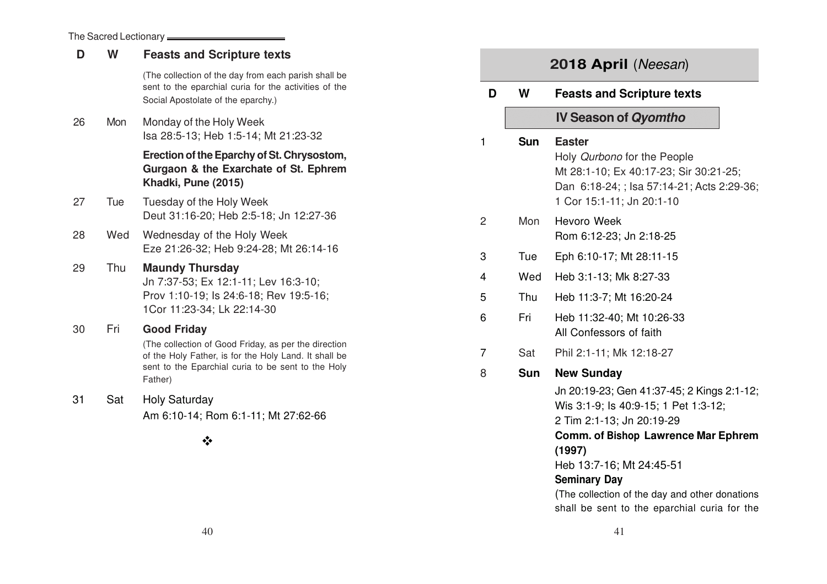| D         | W                                                | <b>Feasts and Scripture texts</b>                                                                                                                   | 2018 April (Neesan) |                |                                                      |                                                                                                                                                                                                           |  |
|-----------|--------------------------------------------------|-----------------------------------------------------------------------------------------------------------------------------------------------------|---------------------|----------------|------------------------------------------------------|-----------------------------------------------------------------------------------------------------------------------------------------------------------------------------------------------------------|--|
|           |                                                  | (The collection of the day from each parish shall be<br>sent to the eparchial curia for the activities of the<br>Social Apostolate of the eparchy.) |                     | D              | W                                                    | <b>Feasts and Scripture texts</b>                                                                                                                                                                         |  |
| 26        | Mon                                              | Monday of the Holy Week<br>Isa 28:5-13; Heb 1:5-14; Mt 21:23-32                                                                                     |                     |                | <b>Sun</b>                                           | <b>IV Season of Qyomtho</b><br><b>Easter</b>                                                                                                                                                              |  |
|           |                                                  | Erection of the Eparchy of St. Chrysostom,<br>Gurgaon & the Exarchate of St. Ephrem<br>Khadki, Pune (2015)                                          | 1                   |                |                                                      | Holy Qurbono for the People<br>Mt 28:1-10; Ex 40:17-23; Sir 30:21-25;<br>Dan 6:18-24; ; lsa 57:14-21; Acts 2:29-36;                                                                                       |  |
| 27        | Tue                                              | Tuesday of the Holy Week<br>Deut 31:16-20; Heb 2:5-18; Jn 12:27-36                                                                                  |                     | $\overline{2}$ | Mon                                                  | 1 Cor 15:1-11; Jn 20:1-10<br>Hevoro Week                                                                                                                                                                  |  |
| 28        | Wed                                              | Wednesday of the Holy Week                                                                                                                          |                     |                |                                                      | Rom 6:12-23; Jn 2:18-25                                                                                                                                                                                   |  |
|           |                                                  | Eze 21:26-32; Heb 9:24-28; Mt 26:14-16                                                                                                              |                     | 3              | Tue                                                  | Eph 6:10-17; Mt 28:11-15                                                                                                                                                                                  |  |
| 29        | Thu                                              | <b>Maundy Thursday</b><br>Jn 7:37-53; Ex 12:1-11; Lev 16:3-10;                                                                                      |                     | 4              | Wed                                                  | Heb 3:1-13; Mk 8:27-33                                                                                                                                                                                    |  |
|           |                                                  | Prov 1:10-19; ls 24:6-18; Rev 19:5-16;                                                                                                              |                     | 5              | Thu                                                  | Heb 11:3-7; Mt 16:20-24                                                                                                                                                                                   |  |
| Fri<br>30 | 1Cor 11:23-34; Lk 22:14-30<br><b>Good Friday</b> |                                                                                                                                                     | 6                   | Fri            | Heb 11:32-40; Mt 10:26-33<br>All Confessors of faith |                                                                                                                                                                                                           |  |
|           |                                                  | (The collection of Good Friday, as per the direction<br>of the Holy Father, is for the Holy Land. It shall be                                       |                     | $\overline{7}$ | Sat                                                  | Phil 2:1-11; Mk 12:18-27                                                                                                                                                                                  |  |
|           |                                                  | sent to the Eparchial curia to be sent to the Holy<br>Father)                                                                                       |                     | 8              | <b>Sun</b>                                           | <b>New Sunday</b>                                                                                                                                                                                         |  |
| 31        | Sat                                              | <b>Holy Saturday</b><br>Am 6:10-14; Rom 6:1-11; Mt 27:62-66                                                                                         |                     |                |                                                      | Jn 20:19-23; Gen 41:37-45; 2 Kings 2:1-12;<br>Wis 3:1-9; ls 40:9-15; 1 Pet 1:3-12;<br>2 Tim 2:1-13; Jn 20:19-29                                                                                           |  |
|           |                                                  | $\cdot$                                                                                                                                             |                     |                |                                                      | <b>Comm. of Bishop Lawrence Mar Ephrem</b><br>(1997)<br>Heb 13:7-16; Mt 24:45-51<br><b>Seminary Day</b><br>(The collection of the day and other donations<br>shall be sent to the eparchial curia for the |  |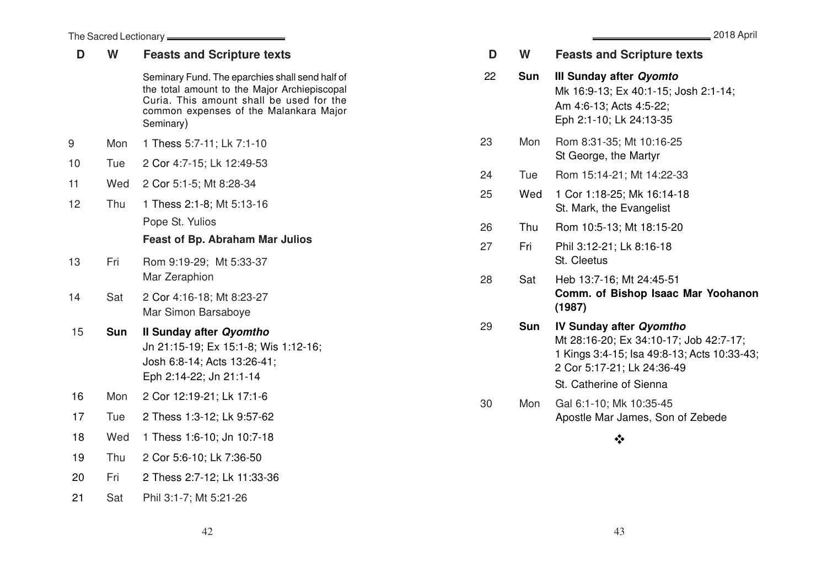| The Sacred Lectionary <b>_______</b> |            |                                                                                                                                                                                                    |    |  |  |
|--------------------------------------|------------|----------------------------------------------------------------------------------------------------------------------------------------------------------------------------------------------------|----|--|--|
| D                                    | W          | <b>Feasts and Scripture texts</b>                                                                                                                                                                  | D  |  |  |
|                                      |            | Seminary Fund. The eparchies shall send half of<br>the total amount to the Major Archiepiscopal<br>Curia. This amount shall be used for the<br>common expenses of the Malankara Major<br>Seminary) | 22 |  |  |
| 9                                    | Mon        | 1 Thess 5:7-11; Lk 7:1-10                                                                                                                                                                          | 23 |  |  |
| 10                                   | Tue        | 2 Cor 4:7-15; Lk 12:49-53                                                                                                                                                                          |    |  |  |
| 11                                   | Wed        | 2 Cor 5:1-5; Mt 8:28-34                                                                                                                                                                            | 24 |  |  |
| 12                                   | Thu        | 1 Thess 2:1-8; Mt 5:13-16                                                                                                                                                                          | 25 |  |  |
|                                      |            | Pope St. Yulios                                                                                                                                                                                    | 26 |  |  |
|                                      |            | <b>Feast of Bp. Abraham Mar Julios</b>                                                                                                                                                             | 27 |  |  |
| 13                                   | Fri        | Rom 9:19-29; Mt 5:33-37<br>Mar Zeraphion                                                                                                                                                           | 28 |  |  |
| 14                                   | Sat        | 2 Cor 4:16-18; Mt 8:23-27<br>Mar Simon Barsaboye                                                                                                                                                   |    |  |  |
| 15                                   | <b>Sun</b> | Il Sunday after Qyomtho<br>Jn 21:15-19; Ex 15:1-8; Wis 1:12-16;<br>Josh 6:8-14; Acts 13:26-41;<br>Eph 2:14-22; Jn 21:1-14                                                                          | 29 |  |  |
| 16                                   | Mon        | 2 Cor 12:19-21; Lk 17:1-6                                                                                                                                                                          | 30 |  |  |
| 17                                   | Tue        | 2 Thess 1:3-12; Lk 9:57-62                                                                                                                                                                         |    |  |  |
| 18                                   | Wed        | 1 Thess 1:6-10; Jn 10:7-18                                                                                                                                                                         |    |  |  |
| 19                                   | Thu        | 2 Cor 5:6-10; Lk 7:36-50                                                                                                                                                                           |    |  |  |
| 20                                   | Fri        | 2 Thess 2:7-12; Lk 11:33-36                                                                                                                                                                        |    |  |  |
| 21                                   | Sat        | Phil 3:1-7; Mt 5:21-26                                                                                                                                                                             |    |  |  |

| D  | W          | <b>Feasts and Scripture texts</b>                                                                                                                                                |
|----|------------|----------------------------------------------------------------------------------------------------------------------------------------------------------------------------------|
| 22 | <b>Sun</b> | III Sunday after Qyomto<br>Mk 16:9-13; Ex 40:1-15; Josh 2:1-14;<br>Am 4:6-13; Acts 4:5-22;<br>Eph 2:1-10; Lk 24:13-35                                                            |
| 23 | Mon        | Rom 8:31-35; Mt 10:16-25<br>St George, the Martyr                                                                                                                                |
| 24 | Tue        | Rom 15:14-21; Mt 14:22-33                                                                                                                                                        |
| 25 | Wed        | 1 Cor 1:18-25; Mk 16:14-18<br>St. Mark, the Evangelist                                                                                                                           |
| 26 | Thu        | Rom 10:5-13; Mt 18:15-20                                                                                                                                                         |
| 27 | Fri        | Phil 3:12-21; Lk 8:16-18<br>St. Cleetus                                                                                                                                          |
| 28 | Sat        | Heb 13:7-16; Mt 24:45-51<br>Comm. of Bishop Isaac Mar Yoohanon<br>(1987)                                                                                                         |
| 29 | <b>Sun</b> | <b>IV Sunday after Qyomtho</b><br>Mt 28:16-20; Ex 34:10-17; Job 42:7-17;<br>1 Kings 3:4-15; Isa 49:8-13; Acts 10:33-43;<br>2 Cor 5:17-21; Lk 24:36-49<br>St. Catherine of Sienna |
| 30 | Mon        | Gal 6:1-10; Mk 10:35-45<br>Apostle Mar James, Son of Zebede                                                                                                                      |
|    |            |                                                                                                                                                                                  |

 $42$  and  $43$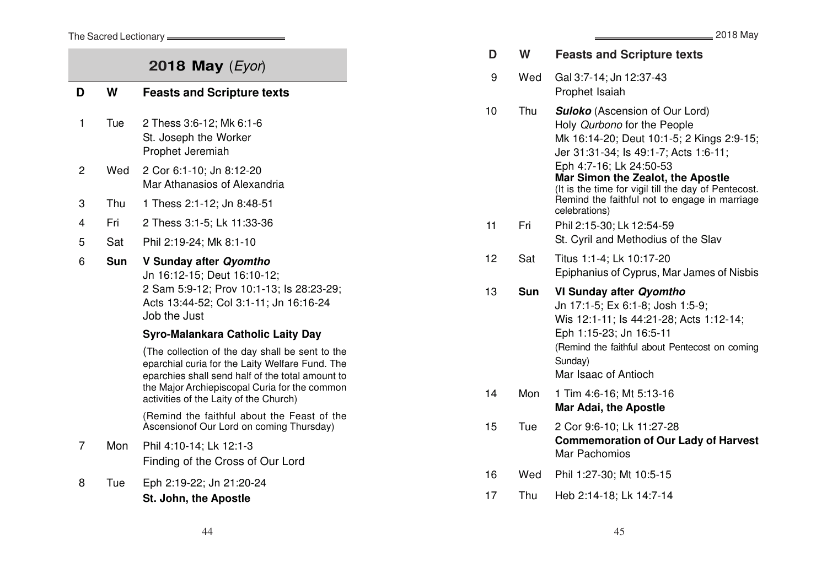The Sacred Lectionary **\_\_\_\_\_\_\_\_\_\_\_\_\_\_\_\_\_\_\_\_\_\_** 

## **2018 May** (Eyor)

| D | W          | <b>Feasts and Scripture texts</b>                                                                                                                                                                                                                 |
|---|------------|---------------------------------------------------------------------------------------------------------------------------------------------------------------------------------------------------------------------------------------------------|
| 1 | Tue        | 2 Thess 3:6-12; Mk 6:1-6<br>St. Joseph the Worker<br>Prophet Jeremiah                                                                                                                                                                             |
| 2 | Wed        | 2 Cor 6:1-10; Jn 8:12-20<br>Mar Athanasios of Alexandria                                                                                                                                                                                          |
| 3 | Thu        | 1 Thess 2:1-12; Jn 8:48-51                                                                                                                                                                                                                        |
| 4 | Fri        | 2 Thess 3:1-5; Lk 11:33-36                                                                                                                                                                                                                        |
| 5 | Sat        | Phil 2:19-24; Mk 8:1-10                                                                                                                                                                                                                           |
| 6 | <b>Sun</b> | V Sunday after Qyomtho<br>Jn 16:12-15; Deut 16:10-12;<br>2 Sam 5:9-12; Prov 10:1-13; ls 28:23-29;<br>Acts 13:44-52; Col 3:1-11; Jn 16:16-24<br>Job the Just                                                                                       |
|   |            | Syro-Malankara Catholic Laity Day                                                                                                                                                                                                                 |
|   |            | (The collection of the day shall be sent to the<br>eparchial curia for the Laity Welfare Fund. The<br>eparchies shall send half of the total amount to<br>the Major Archiepiscopal Curia for the common<br>activities of the Laity of the Church) |
|   |            | (Remind the faithful about the Feast of the<br>Ascensionof Our Lord on coming Thursday)                                                                                                                                                           |
| 7 | Mon        | Phil 4:10-14; Lk 12:1-3<br>Finding of the Cross of Our Lord                                                                                                                                                                                       |
| 8 | Tue        | Eph 2:19-22; Jn 21:20-24<br>St. John, the Apostle                                                                                                                                                                                                 |

|    |            | $=$ $\epsilon$ u i u iviay                                                                                                                                                                                                                                                                                                                           |
|----|------------|------------------------------------------------------------------------------------------------------------------------------------------------------------------------------------------------------------------------------------------------------------------------------------------------------------------------------------------------------|
| D  | W          | <b>Feasts and Scripture texts</b>                                                                                                                                                                                                                                                                                                                    |
| 9  | Wed        | Gal 3:7-14; Jn 12:37-43<br>Prophet Isaiah                                                                                                                                                                                                                                                                                                            |
| 10 | Thu        | <b>Suloko</b> (Ascension of Our Lord)<br>Holy Qurbono for the People<br>Mk 16:14-20; Deut 10:1-5; 2 Kings 2:9-15;<br>Jer 31:31-34; ls 49:1-7; Acts 1:6-11;<br>Eph 4:7-16; Lk 24:50-53<br>Mar Simon the Zealot, the Apostle<br>(It is the time for vigil till the day of Pentecost.<br>Remind the faithful not to engage in marriage<br>celebrations) |
| 11 | Fri        | Phil 2:15-30; Lk 12:54-59<br>St. Cyril and Methodius of the Slav                                                                                                                                                                                                                                                                                     |
| 12 | Sat        | Titus 1:1-4; Lk 10:17-20<br>Epiphanius of Cyprus, Mar James of Nisbis                                                                                                                                                                                                                                                                                |
| 13 | <b>Sun</b> | VI Sunday after Qyomtho<br>Jn 17:1-5; Ex 6:1-8; Josh 1:5-9;<br>Wis 12:1-11; ls 44:21-28; Acts 1:12-14;<br>Eph 1:15-23; Jn 16:5-11<br>(Remind the faithful about Pentecost on coming<br>Sunday)<br>Mar Isaac of Antioch                                                                                                                               |
| 14 | Mon        | 1 Tim 4:6-16; Mt 5:13-16<br><b>Mar Adai, the Apostle</b>                                                                                                                                                                                                                                                                                             |
| 15 | Tue        | 2 Cor 9:6-10; Lk 11:27-28<br><b>Commemoration of Our Lady of Harvest</b><br>Mar Pachomios                                                                                                                                                                                                                                                            |
| 16 | Wed        | Phil 1:27-30; Mt 10:5-15                                                                                                                                                                                                                                                                                                                             |
| 17 | Thu        | Heb 2:14-18; Lk 14:7-14                                                                                                                                                                                                                                                                                                                              |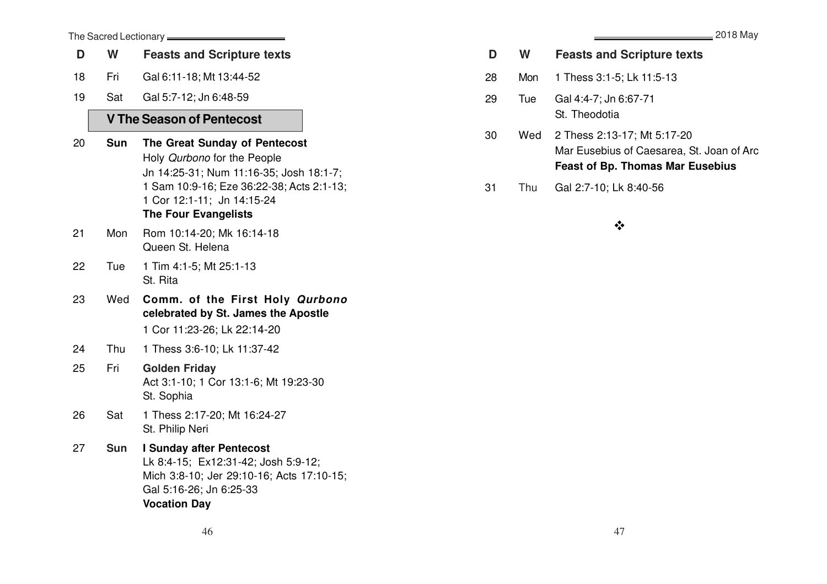| The Sacred Lectionary <b>________</b> |            |                                                                                                                                                                                                                   |  |  |  |
|---------------------------------------|------------|-------------------------------------------------------------------------------------------------------------------------------------------------------------------------------------------------------------------|--|--|--|
| D                                     | W          | <b>Feasts and Scripture texts</b>                                                                                                                                                                                 |  |  |  |
| 18                                    | Fri        | Gal 6:11-18; Mt 13:44-52                                                                                                                                                                                          |  |  |  |
| 19                                    | Sat        | Gal 5:7-12; Jn 6:48-59                                                                                                                                                                                            |  |  |  |
|                                       |            | V The Season of Pentecost                                                                                                                                                                                         |  |  |  |
| 20                                    | <b>Sun</b> | The Great Sunday of Pentecost<br>Holy Qurbono for the People<br>Jn 14:25-31; Num 11:16-35; Josh 18:1-7;<br>1 Sam 10:9-16; Eze 36:22-38; Acts 2:1-13;<br>1 Cor 12:1-11; Jn 14:15-24<br><b>The Four Evangelists</b> |  |  |  |
| 21                                    | Mon        | Rom 10:14-20; Mk 16:14-18<br>Queen St. Helena                                                                                                                                                                     |  |  |  |
| 22                                    | Tue        | 1 Tim 4:1-5; Mt 25:1-13<br>St. Rita                                                                                                                                                                               |  |  |  |
| 23                                    | Wed        | Comm. of the First Holy Qurbono<br>celebrated by St. James the Apostle<br>1 Cor 11:23-26; Lk 22:14-20                                                                                                             |  |  |  |
| 24                                    | Thu        | 1 Thess 3:6-10; Lk 11:37-42                                                                                                                                                                                       |  |  |  |
| 25                                    | Fri        | <b>Golden Friday</b><br>Act 3:1-10; 1 Cor 13:1-6; Mt 19:23-30<br>St. Sophia                                                                                                                                       |  |  |  |
| 26                                    | Sat        | 1 Thess 2:17-20; Mt 16:24-27<br>St. Philip Neri                                                                                                                                                                   |  |  |  |
| 27                                    | Sun        | <b>I Sunday after Pentecost</b><br>Lk 8:4-15; Ex12:31-42; Josh 5:9-12;<br>Mich 3:8-10; Jer 29:10-16; Acts 17:10-15;<br>Gal 5:16-26; Jn 6:25-33<br><b>Vocation Day</b>                                             |  |  |  |

| D | W | <b>Feasts and Scripture texts</b> |
|---|---|-----------------------------------|
|---|---|-----------------------------------|

- 28 Mon 1 Thess 3:1-5; Lk 11:5-13
- 29 Tue Gal 4:4-7; Jn 6:67-71 St. Theodotia
- 30 Wed 2 Thess 2:13-17; Mt 5:17-20 Mar Eusebius of Caesarea, St. Joan of Arc **Feast of Bp. Thomas Mar Eusebius**
- 31 Thu Gal 2:7-10; Lk 8:40-56

### $\cdot$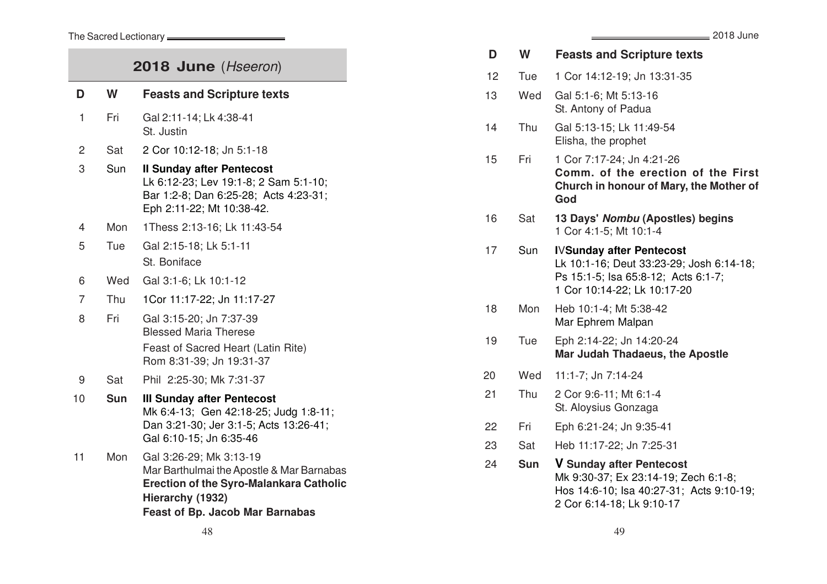### The Sacred Lectionary **contains the Sacred Lectionary**

| 2018 June (Hseeron) |            |                                                                                                                                                                                      |  |  |
|---------------------|------------|--------------------------------------------------------------------------------------------------------------------------------------------------------------------------------------|--|--|
| D                   | W          | <b>Feasts and Scripture texts</b>                                                                                                                                                    |  |  |
| 1                   | Fri        | Gal 2:11-14; Lk 4:38-41<br>St. Justin                                                                                                                                                |  |  |
| $\overline{c}$      | Sat        | 2 Cor 10:12-18; Jn 5:1-18                                                                                                                                                            |  |  |
| 3                   | Sun        | <b>Il Sunday after Pentecost</b><br>Lk 6:12-23; Lev 19:1-8; 2 Sam 5:1-10;<br>Bar 1:2-8; Dan 6:25-28; Acts 4:23-31;<br>Eph 2:11-22; Mt 10:38-42.                                      |  |  |
| $\overline{4}$      | Mon        | 1Thess 2:13-16; Lk 11:43-54                                                                                                                                                          |  |  |
| 5                   | Tue        | Gal 2:15-18; Lk 5:1-11                                                                                                                                                               |  |  |
|                     |            | St. Boniface                                                                                                                                                                         |  |  |
| 6                   | Wed        | Gal 3:1-6; Lk 10:1-12                                                                                                                                                                |  |  |
| $\overline{7}$      | Thu        | 1Cor 11:17-22; Jn 11:17-27                                                                                                                                                           |  |  |
| 8                   | Fri        | Gal 3:15-20; Jn 7:37-39<br><b>Blessed Maria Therese</b><br>Feast of Sacred Heart (Latin Rite)<br>Rom 8:31-39; Jn 19:31-37                                                            |  |  |
| 9                   | Sat        | Phil 2:25-30; Mk 7:31-37                                                                                                                                                             |  |  |
| 10                  | <b>Sun</b> | <b>III Sunday after Pentecost</b><br>Mk 6:4-13; Gen 42:18-25; Judg 1:8-11;<br>Dan 3:21-30; Jer 3:1-5; Acts 13:26-41;<br>Gal 6:10-15; Jn 6:35-46                                      |  |  |
| 11                  | Mon        | Gal 3:26-29; Mk 3:13-19<br>Mar Barthulmai the Apostle & Mar Barnabas<br><b>Erection of the Syro-Malankara Catholic</b><br>Hierarchy (1932)<br><b>Feast of Bp. Jacob Mar Barnabas</b> |  |  |

|    |            | _ 2018 June                                                                                                                                       |
|----|------------|---------------------------------------------------------------------------------------------------------------------------------------------------|
| D  | W          | <b>Feasts and Scripture texts</b>                                                                                                                 |
| 12 | Tue        | 1 Cor 14:12-19; Jn 13:31-35                                                                                                                       |
| 13 | Wed        | Gal 5:1-6; Mt 5:13-16<br>St. Antony of Padua                                                                                                      |
| 14 | Thu        | Gal 5:13-15; Lk 11:49-54<br>Elisha, the prophet                                                                                                   |
| 15 | Fri        | 1 Cor 7:17-24; Jn 4:21-26<br>Comm. of the erection of the First<br>Church in honour of Mary, the Mother of<br>God                                 |
| 16 | Sat        | 13 Days' Nombu (Apostles) begins<br>1 Cor 4:1-5; Mt 10:1-4                                                                                        |
| 17 | Sun        | <b>IVSunday after Pentecost</b><br>Lk 10:1-16; Deut 33:23-29; Josh 6:14-18;<br>Ps 15:1-5; Isa 65:8-12; Acts 6:1-7;<br>1 Cor 10:14-22; Lk 10:17-20 |
| 18 | Mon        | Heb 10:1-4; Mt 5:38-42<br>Mar Ephrem Malpan                                                                                                       |
| 19 | Tue        | Eph 2:14-22; Jn 14:20-24<br>Mar Judah Thadaeus, the Apostle                                                                                       |
| 20 | Wed        | 11:1-7; Jn 7:14-24                                                                                                                                |
| 21 | Thu        | 2 Cor 9:6-11; Mt 6:1-4<br>St. Aloysius Gonzaga                                                                                                    |
| 22 | Fri        | Eph 6:21-24; Jn 9:35-41                                                                                                                           |
| 23 | Sat        | Heb 11:17-22; Jn 7:25-31                                                                                                                          |
| 24 | <b>Sun</b> | <b>V Sunday after Pentecost</b><br>Mk 9:30-37; Ex 23:14-19; Zech 6:1-8;<br>Hos 14:6-10; Isa 40:27-31; Acts 9:10-19;<br>2 Cor 6:14-18; Lk 9:10-17  |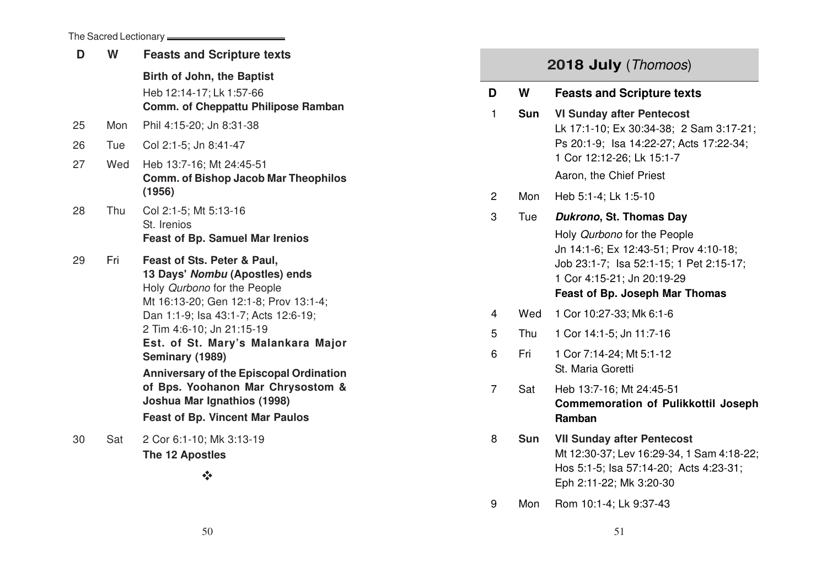The Sacred Lectionary

| D  | W   | <b>Feasts and Scripture texts</b>                                                                                                                                                                                                                                                                                                                                                                                                   |
|----|-----|-------------------------------------------------------------------------------------------------------------------------------------------------------------------------------------------------------------------------------------------------------------------------------------------------------------------------------------------------------------------------------------------------------------------------------------|
|    |     | Birth of John, the Baptist<br>Heb 12:14-17; Lk 1:57-66<br>Comm. of Cheppattu Philipose Ramban                                                                                                                                                                                                                                                                                                                                       |
| 25 | Mon | Phil 4:15-20; Jn 8:31-38                                                                                                                                                                                                                                                                                                                                                                                                            |
| 26 | Tue | Col 2:1-5; Jn 8:41-47                                                                                                                                                                                                                                                                                                                                                                                                               |
| 27 | Wed | Heb 13:7-16; Mt 24:45-51<br><b>Comm. of Bishop Jacob Mar Theophilos</b><br>(1956)                                                                                                                                                                                                                                                                                                                                                   |
| 28 | Thu | Col 2:1-5; Mt 5:13-16<br>St. Irenios<br><b>Feast of Bp. Samuel Mar Irenios</b>                                                                                                                                                                                                                                                                                                                                                      |
| 29 | Fri | Feast of Sts. Peter & Paul,<br>13 Days' Nombu (Apostles) ends<br>Holy Qurbono for the People<br>Mt 16:13-20; Gen 12:1-8; Prov 13:1-4;<br>Dan 1:1-9; Isa 43:1-7; Acts 12:6-19;<br>2 Tim 4:6-10; Jn 21:15-19<br>Est. of St. Mary's Malankara Major<br>Seminary (1989)<br><b>Anniversary of the Episcopal Ordination</b><br>of Bps. Yoohanon Mar Chrysostom &<br>Joshua Mar Ignathios (1998)<br><b>Feast of Bp. Vincent Mar Paulos</b> |
| 30 | Sat | 2 Cor 6:1-10; Mk 3:13-19<br>The 12 Apostles                                                                                                                                                                                                                                                                                                                                                                                         |
|    |     | $\frac{1}{2}$                                                                                                                                                                                                                                                                                                                                                                                                                       |

|   |            | 2018 July (Thomoos)                                                                                                                                                                    |
|---|------------|----------------------------------------------------------------------------------------------------------------------------------------------------------------------------------------|
| כ | W          | <b>Feasts and Scripture texts</b>                                                                                                                                                      |
| 1 | <b>Sun</b> | <b>VI Sunday after Pentecost</b><br>Lk 17:1-10; Ex 30:34-38; 2 Sam 3:17-21;<br>Ps 20:1-9; Isa 14:22-27; Acts 17:22-34;<br>1 Cor 12:12-26; Lk 15:1-7<br>Aaron, the Chief Priest         |
| 2 | Mon        | Heb 5:1-4; Lk 1:5-10                                                                                                                                                                   |
| 3 | Tue        | Dukrono, St. Thomas Day                                                                                                                                                                |
|   |            | Holy Qurbono for the People<br>Jn 14:1-6; Ex 12:43-51; Prov 4:10-18;<br>Job 23:1-7; Isa 52:1-15; 1 Pet 2:15-17;<br>1 Cor 4:15-21; Jn 20:19-29<br><b>Feast of Bp. Joseph Mar Thomas</b> |
| 4 | Wed        | 1 Cor 10:27-33; Mk 6:1-6                                                                                                                                                               |
| 5 | Thu        | 1 Cor 14:1-5; Jn 11:7-16                                                                                                                                                               |
| 6 | Fri        | 1 Cor 7:14-24; Mt 5:1-12<br>St. Maria Goretti                                                                                                                                          |
| 7 | Sat        | Heb 13:7-16; Mt 24:45-51<br><b>Commemoration of Pulikkottil Joseph</b>                                                                                                                 |

**D**

3

- 8 **Sun VII Sunday after Pentecost** Mt 12:30-37; Lev 16:29-34, 1 Sam 4:18-22; Hos 5:1-5; Isa 57:14-20; Acts 4:23-31; Eph 2:11-22; Mk 3:20-30
- 9 Mon Rom 10:1-4; Lk 9:37-43

**Ramban**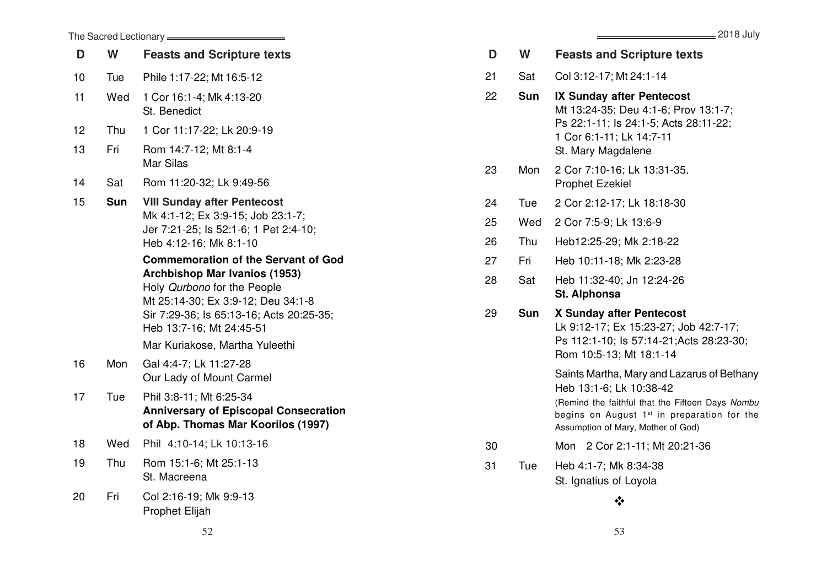|    | The Sacred Lectionary = |                                                                                                                                                                                                                                                                   |  |  |  |  |
|----|-------------------------|-------------------------------------------------------------------------------------------------------------------------------------------------------------------------------------------------------------------------------------------------------------------|--|--|--|--|
| D  | W                       | <b>Feasts and Scripture texts</b>                                                                                                                                                                                                                                 |  |  |  |  |
| 10 | Tue                     | Phile 1:17-22; Mt 16:5-12                                                                                                                                                                                                                                         |  |  |  |  |
| 11 | Wed                     | 1 Cor 16:1-4; Mk 4:13-20<br>St. Benedict                                                                                                                                                                                                                          |  |  |  |  |
| 12 | Thu                     | 1 Cor 11:17-22; Lk 20:9-19                                                                                                                                                                                                                                        |  |  |  |  |
| 13 | Fri                     | Rom 14:7-12; Mt 8:1-4<br>Mar Silas                                                                                                                                                                                                                                |  |  |  |  |
| 14 | Sat                     | Rom 11:20-32; Lk 9:49-56                                                                                                                                                                                                                                          |  |  |  |  |
| 15 | Sun                     | <b>VIII Sunday after Pentecost</b><br>Mk 4:1-12; Ex 3:9-15; Job 23:1-7;<br>Jer 7:21-25; ls 52:1-6; 1 Pet 2:4-10;<br>Heb 4:12-16; Mk 8:1-10                                                                                                                        |  |  |  |  |
|    |                         | <b>Commemoration of the Servant of God</b><br><b>Archbishop Mar Ivanios (1953)</b><br>Holy Qurbono for the People<br>Mt 25:14-30; Ex 3:9-12; Deu 34:1-8<br>Sir 7:29-36; ls 65:13-16; Acts 20:25-35;<br>Heb 13:7-16: Mt 24:45-51<br>Mar Kuriakose, Martha Yuleethi |  |  |  |  |
| 16 | Mon                     | Gal 4:4-7; Lk 11:27-28<br>Our Lady of Mount Carmel                                                                                                                                                                                                                |  |  |  |  |
| 17 | Tue                     | Phil 3:8-11; Mt 6:25-34<br><b>Anniversary of Episcopal Consecration</b><br>of Abp. Thomas Mar Koorilos (1997)                                                                                                                                                     |  |  |  |  |
| 18 | Wed                     | Phil 4:10-14; Lk 10:13-16                                                                                                                                                                                                                                         |  |  |  |  |
| 19 | Thu                     | Rom 15:1-6; Mt 25:1-13<br>St. Macreena                                                                                                                                                                                                                            |  |  |  |  |
| 20 | Fri                     | Col 2:16-19; Mk 9:9-13<br><b>Prophet Elijah</b>                                                                                                                                                                                                                   |  |  |  |  |

2018 July

|    |            | $=$ $\sim$ $\sim$ $\sim$ $\sim$ $\sim$                                                                                                                                                                                     |
|----|------------|----------------------------------------------------------------------------------------------------------------------------------------------------------------------------------------------------------------------------|
| D  | W          | <b>Feasts and Scripture texts</b>                                                                                                                                                                                          |
| 21 | Sat        | Col 3:12-17; Mt 24:1-14                                                                                                                                                                                                    |
| 22 | Sun        | <b>IX Sunday after Pentecost</b><br>Mt 13:24-35; Deu 4:1-6; Prov 13:1-7;<br>Ps 22:1-11; ls 24:1-5; Acts 28:11-22;<br>1 Cor 6:1-11; Lk 14:7-11<br>St. Mary Magdalene                                                        |
| 23 | Mon        | 2 Cor 7:10-16; Lk 13:31-35.<br><b>Prophet Ezekiel</b>                                                                                                                                                                      |
| 24 | Tue        | 2 Cor 2:12-17; Lk 18:18-30                                                                                                                                                                                                 |
| 25 | Wed        | 2 Cor 7:5-9; Lk 13:6-9                                                                                                                                                                                                     |
| 26 | Thu        | Heb12:25-29; Mk 2:18-22                                                                                                                                                                                                    |
| 27 | Fri        | Heb 10:11-18; Mk 2:23-28                                                                                                                                                                                                   |
| 28 | Sat        | Heb 11:32-40; Jn 12:24-26<br>St. Alphonsa                                                                                                                                                                                  |
| 29 | <b>Sun</b> | X Sunday after Pentecost<br>Lk 9:12-17; Ex 15:23-27; Job 42:7-17;<br>Ps 112:1-10; ls 57:14-21; Acts 28:23-30;<br>Rom 10:5-13; Mt 18:1-14                                                                                   |
|    |            | Saints Martha, Mary and Lazarus of Bethany<br>Heb 13:1-6; Lk 10:38-42<br>(Remind the faithful that the Fifteen Days Nombu<br>begins on August 1 <sup>st</sup> in preparation for the<br>Assumption of Mary, Mother of God) |
| 30 |            | 2 Cor 2:1-11; Mt 20:21-36<br>Mon                                                                                                                                                                                           |
| 31 | Tue        | Heb 4:1-7; Mk 8:34-38<br>St. Ignatius of Loyola                                                                                                                                                                            |
|    |            | ∗∑∙                                                                                                                                                                                                                        |
|    |            |                                                                                                                                                                                                                            |

 $52$  53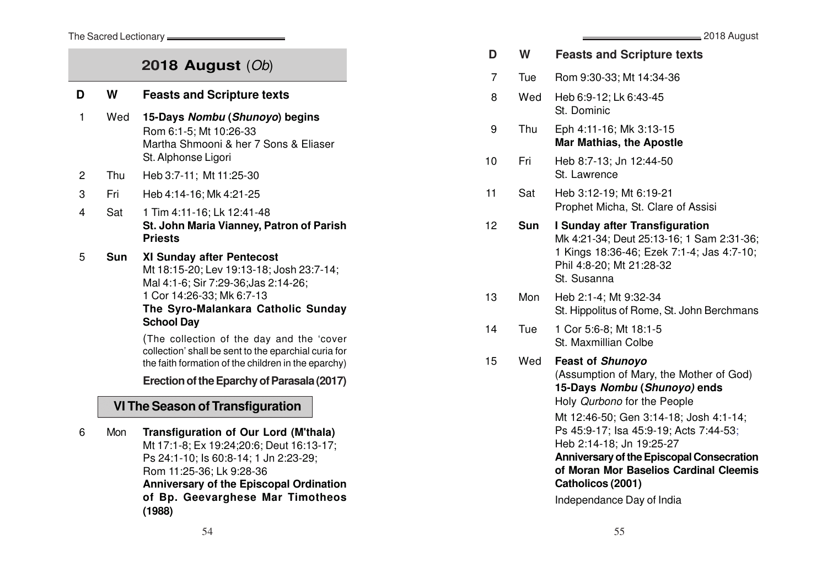The Sacred Lectionary **\_\_\_\_\_** 

**D**

## **2018 August** (Ob)

| כ   | W   | <b>Feasts and Scripture texts</b>                                                                                                                                                                            |
|-----|-----|--------------------------------------------------------------------------------------------------------------------------------------------------------------------------------------------------------------|
| 1   | Wed | 15-Days Nombu (Shunoyo) begins<br>Rom 6:1-5; Mt 10:26-33<br>Martha Shmooni & her 7 Sons & Eliaser<br>St. Alphonse Ligori                                                                                     |
| 2   | Thu | Heb 3:7-11; Mt 11:25-30                                                                                                                                                                                      |
| 3   | Fri | Heb 4:14-16; Mk 4:21-25                                                                                                                                                                                      |
| 4   | Sat | 1 Tim 4:11-16; Lk 12:41-48<br>St. John Maria Vianney, Patron of Parish<br><b>Priests</b>                                                                                                                     |
| 5   | Sun | <b>XI Sunday after Pentecost</b><br>Mt 18:15-20; Lev 19:13-18; Josh 23:7-14;<br>Mal 4:1-6; Sir 7:29-36; Jas 2:14-26;<br>1 Cor 14:26-33; Mk 6:7-13<br>The Syro-Malankara Catholic Sunday<br><b>School Day</b> |
|     |     | (The collection of the day and the 'cover<br>collection' shall be sent to the eparchial curia for<br>the faith formation of the children in the eparchy)                                                     |
|     |     | Erection of the Eparchy of Parasala (2017)                                                                                                                                                                   |
|     |     | <b>VI The Season of Transfiguration</b>                                                                                                                                                                      |
| ี่ค | Mon | Transfiguration of Our Lord (M'thala)                                                                                                                                                                        |

6 Mon **Transfiguration of Our Lord (M'thala)** Mt 17:1-8; Ex 19:24;20:6; Deut 16:13-17; Ps 24:1-10; Is 60:8-14; 1 Jn 2:23-29; Rom 11:25-36; Lk 9:28-36 **Anniversary of the Episcopal Ordination of Bp. Geevarghese Mar Timotheos (1988)**

| D  | W          | <b>Feasts and Scripture texts</b>                                                                                                                                                                                                                                                                                                                                                                 |
|----|------------|---------------------------------------------------------------------------------------------------------------------------------------------------------------------------------------------------------------------------------------------------------------------------------------------------------------------------------------------------------------------------------------------------|
| 7  | Tue        | Rom 9:30-33; Mt 14:34-36                                                                                                                                                                                                                                                                                                                                                                          |
| 8  | Wed        | Heb 6:9-12; Lk 6:43-45<br>St. Dominic                                                                                                                                                                                                                                                                                                                                                             |
| 9  | Thu        | Eph 4:11-16; Mk 3:13-15<br><b>Mar Mathias, the Apostle</b>                                                                                                                                                                                                                                                                                                                                        |
| 10 | Fri        | Heb 8:7-13; Jn 12:44-50<br>St. Lawrence                                                                                                                                                                                                                                                                                                                                                           |
| 11 | Sat        | Heb 3:12-19; Mt 6:19-21<br>Prophet Micha, St. Clare of Assisi                                                                                                                                                                                                                                                                                                                                     |
| 12 | <b>Sun</b> | <b>I Sunday after Transfiguration</b><br>Mk 4:21-34; Deut 25:13-16; 1 Sam 2:31-36;<br>1 Kings 18:36-46; Ezek 7:1-4; Jas 4:7-10;<br>Phil 4:8-20; Mt 21:28-32<br>St. Susanna                                                                                                                                                                                                                        |
| 13 | Mon        | Heb 2:1-4; Mt 9:32-34<br>St. Hippolitus of Rome, St. John Berchmans                                                                                                                                                                                                                                                                                                                               |
| 14 | Tue        | 1 Cor 5:6-8; Mt 18:1-5<br>St. Maxmillian Colbe                                                                                                                                                                                                                                                                                                                                                    |
| 15 | Wed        | <b>Feast of Shunoyo</b><br>(Assumption of Mary, the Mother of God)<br>15-Days Nombu (Shunoyo) ends<br>Holy Qurbono for the People<br>Mt 12:46-50; Gen 3:14-18; Josh 4:1-14;<br>Ps 45:9-17; Isa 45:9-19; Acts 7:44-53;<br>Heb 2:14-18; Jn 19:25-27<br><b>Anniversary of the Episcopal Consecration</b><br>of Moran Mor Baselios Cardinal Cleemis<br>Catholicos (2001)<br>Independance Day of India |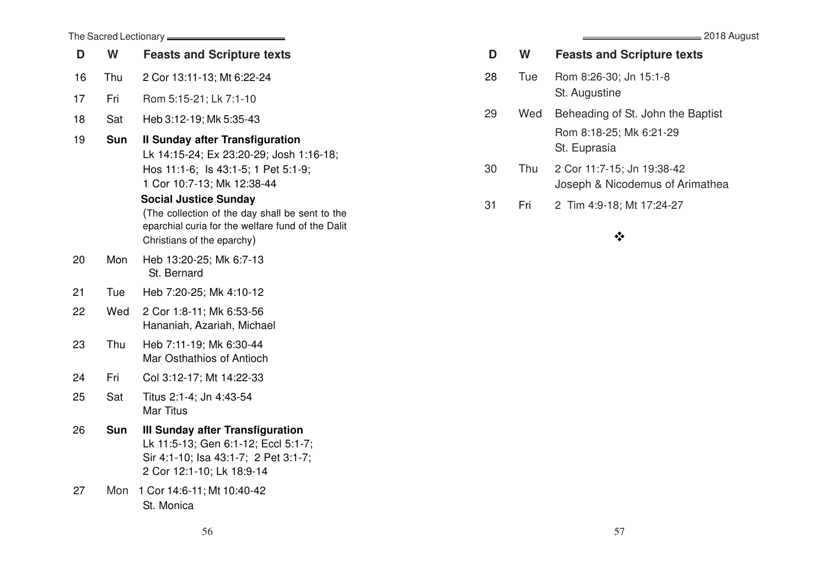### = 2018 August

|    |            | The Sacred Lectionary <b>_____</b>                                                                                                                                                                                                                                                                                           |
|----|------------|------------------------------------------------------------------------------------------------------------------------------------------------------------------------------------------------------------------------------------------------------------------------------------------------------------------------------|
| D  | W          | <b>Feasts and Scripture texts</b>                                                                                                                                                                                                                                                                                            |
| 16 | Thu        | 2 Cor 13:11-13; Mt 6:22-24                                                                                                                                                                                                                                                                                                   |
| 17 | Fri        | Rom 5:15-21; Lk 7:1-10                                                                                                                                                                                                                                                                                                       |
| 18 | Sat        | Heb 3:12-19; Mk 5:35-43                                                                                                                                                                                                                                                                                                      |
| 19 | <b>Sun</b> | <b>Il Sunday after Transfiguration</b><br>Lk 14:15-24; Ex 23:20-29; Josh 1:16-18;<br>Hos 11:1-6; ls 43:1-5; 1 Pet 5:1-9;<br>1 Cor 10:7-13; Mk 12:38-44<br><b>Social Justice Sunday</b><br>(The collection of the day shall be sent to the<br>eparchial curia for the welfare fund of the Dalit<br>Christians of the eparchy) |
| 20 | Mon        | Heb 13:20-25; Mk 6:7-13<br>St. Bernard                                                                                                                                                                                                                                                                                       |
| 21 | Tue        | Heb 7:20-25; Mk 4:10-12                                                                                                                                                                                                                                                                                                      |
| 22 | Wed        | 2 Cor 1:8-11; Mk 6:53-56<br>Hananiah, Azariah, Michael                                                                                                                                                                                                                                                                       |
| 23 | Thu        | Heb 7:11-19; Mk 6:30-44<br>Mar Osthathios of Antioch                                                                                                                                                                                                                                                                         |
| 24 | Fri        | Col 3:12-17; Mt 14:22-33                                                                                                                                                                                                                                                                                                     |
| 25 | Sat        | Titus 2:1-4; Jn 4:43-54<br><b>Mar Titus</b>                                                                                                                                                                                                                                                                                  |
| 26 | <b>Sun</b> | III Sunday after Transfiguration<br>Lk 11:5-13; Gen 6:1-12; Eccl 5:1-7;<br>Sir 4:1-10; Isa 43:1-7; 2 Pet 3:1-7;<br>2 Cor 12:1-10; Lk 18:9-14                                                                                                                                                                                 |
| 27 | Mon        | 1 Cor 14:6-11; Mt 10:40-42<br>St. Monica                                                                                                                                                                                                                                                                                     |

| D   | W.  | <b>Feasts and Scripture texts</b> |
|-----|-----|-----------------------------------|
| -28 | Tue | Rom 8:26-30; Jn 15:1-8            |

St. Augustine

- 29 Wed Beheading of St. John the Baptist Rom 8:18-25; Mk 6:21-29 St. Euprasia
- 30 Thu 2 Cor 11:7-15; Jn 19:38-42 Joseph & Nicodemus of Arimathea
- 31 Fri 2 Tim 4:9-18; Mt 17:24-27

## $\frac{1}{2}$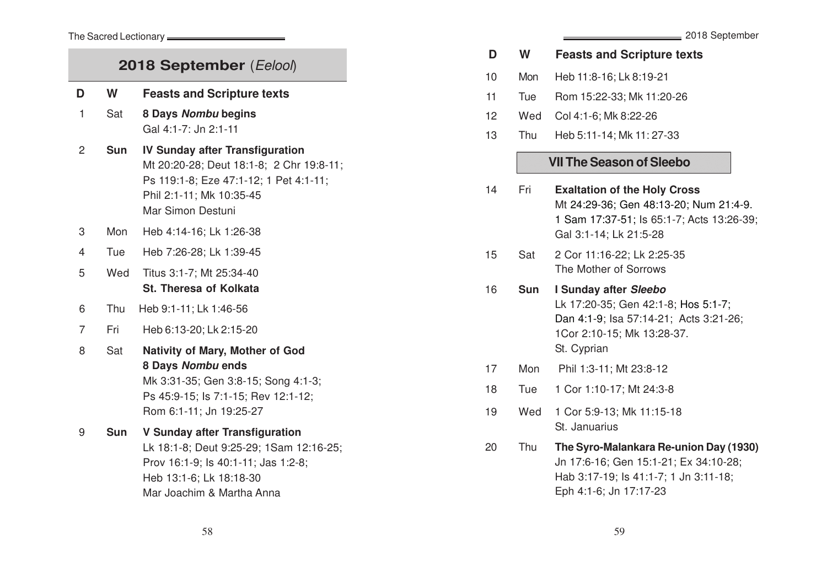## **2018 September** (Eelool) **D <sup>W</sup> Feasts and Scripture texts** 1 Sat **8 Days Nombu begins** Gal 4:1-7: Jn 2:1-11 2 **Sun IV Sunday after Transfiguration** Mt 20:20-28; Deut 18:1-8; 2 Chr 19:8-11; Ps 119:1-8; Eze 47:1-12; 1 Pet 4:1-11; Phil 2:1-11; Mk 10:35-45 Mar Simon Destuni 3 Mon Heb 4:14-16; Lk 1:26-38 4 Tue Heb 7:26-28; Lk 1:39-45 5 Wed Titus 3:1-7; Mt 25:34-40 **St. Theresa of Kolkata** 6 Thu Heb 9:1-11; Lk 1:46-56 7 Fri Heb 6:13-20; Lk 2:15-20 8 Sat **Nativity of Mary, Mother of God 8 Days Nombu ends** Mk 3:31-35; Gen 3:8-15; Song 4:1-3; Ps 45:9-15; Is 7:1-15; Rev 12:1-12; Rom 6:1-11; Jn 19:25-27 9 **Sun V Sunday after Transfiguration** Lk 18:1-8; Deut 9:25-29; 1Sam 12:16-25; Prov 16:1-9; Is 40:1-11; Jas 1:2-8; Heb 13:1-6; Lk 18:18-30 Mar Joachim & Martha Anna

#### **D <sup>W</sup> Feasts and Scripture text s**

- 10 Mon Heb 11:8-16; Lk 8:19-21
- 11 Tue Rom 15:22-33; Mk 11:20-26
- 12 Wed Col 4:1-6; Mk 8:22-26
- 13 Thu Heb 5:11-14; Mk 11: 27-33

## **VII The Season of Sleebo**

- 14 Fri **Exaltation of the Holy Cross** Mt 24:29-36; Gen 48:13-20; Num 21:4-9. 1 Sam 17:37-51; Is 65:1-7; Acts 13:26-39; Gal 3:1-14; Lk 21:5-28
- 15 Sat 2 Cor 11:16-22; Lk 2:25-35 The Mother of Sorrows
- 16 **Sun I Sunday after Sleebo** Lk 17:20-35; Gen 42:1-8; Hos 5:1-7; Dan 4:1-9; Isa 57:14-21; Acts 3:21-26; 1Cor 2:10-15; Mk 13:28-37. St. Cyprian
- 17 Mon Phil 1:3-11; Mt 23:8-12
- 18 Tue 1 Cor 1:10-17; Mt 24:3-8
- 19 Wed 1 Cor 5:9-13; Mk 11:15-18 St. Januarius
- 20 Thu **The Syro-Malankara Re-union Day (1930)** Jn 17:6-16; Gen 15:1-21; Ex 34:10-28; Hab 3:17-19; Is 41:1-7; 1 Jn 3:11-18; Eph 4:1-6; Jn 17:17-23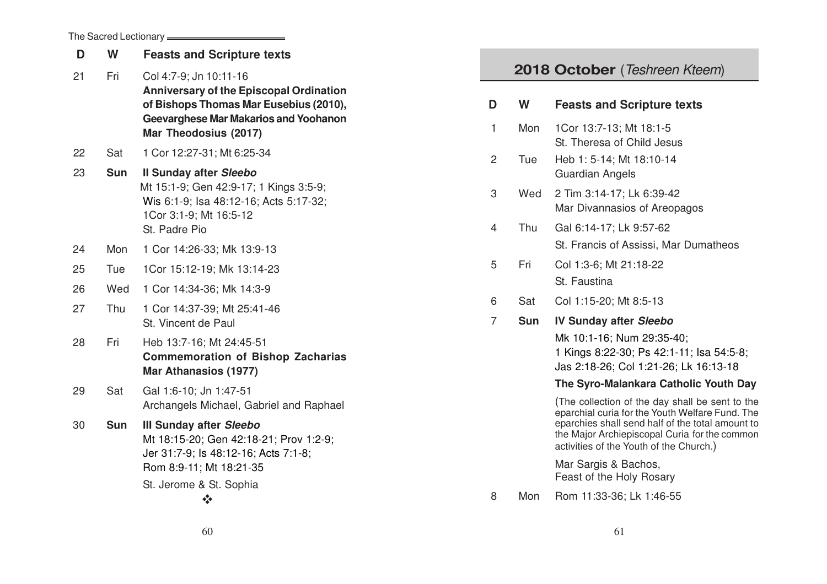| The Sacred Lectionary |  |  |
|-----------------------|--|--|
|-----------------------|--|--|

| D  | W          | <b>Feasts and Scripture texts</b>                                                                                                                                                           |                     |               |
|----|------------|---------------------------------------------------------------------------------------------------------------------------------------------------------------------------------------------|---------------------|---------------|
| 21 | Fri        | Col 4:7-9; Jn 10:11-16<br><b>Anniversary of the Episcopal Ordination</b><br>of Bishops Thomas Mar Eusebius (2010),<br><b>Geevarghese Mar Makarios and Yoohanon</b><br>Mar Theodosius (2017) | D<br>1              | 20<br>W<br>Mo |
| 22 | Sat        | 1 Cor 12:27-31; Mt 6:25-34                                                                                                                                                                  | $\overline{2}$      | Tue           |
| 23 | <b>Sun</b> | <b>Il Sunday after Sleebo</b><br>Mt 15:1-9; Gen 42:9-17; 1 Kings 3:5-9;<br>Wis 6:1-9; Isa 48:12-16; Acts 5:17-32;<br>1Cor 3:1-9; Mt 16:5-12<br>St. Padre Pio                                | 3<br>$\overline{4}$ | We<br>Thi     |
| 24 | Mon        | 1 Cor 14:26-33; Mk 13:9-13                                                                                                                                                                  |                     |               |
| 25 | Tue        | 1Cor 15:12-19; Mk 13:14-23                                                                                                                                                                  | 5                   | Fri           |
| 26 | Wed        | 1 Cor 14:34-36; Mk 14:3-9                                                                                                                                                                   |                     |               |
| 27 | Thu        | 1 Cor 14:37-39; Mt 25:41-46                                                                                                                                                                 | 6                   | Sa            |
|    |            | St. Vincent de Paul                                                                                                                                                                         | $\overline{7}$      | <b>Su</b>     |
| 28 | Fri        | Heb 13:7-16; Mt 24:45-51<br><b>Commemoration of Bishop Zacharias</b><br><b>Mar Athanasios (1977)</b>                                                                                        |                     |               |
| 29 | Sat        | Gal 1:6-10; Jn 1:47-51<br>Archangels Michael, Gabriel and Raphael                                                                                                                           |                     |               |
| 30 | <b>Sun</b> | <b>III Sunday after Sleebo</b><br>Mt 18:15-20; Gen 42:18-21; Prov 1:2-9;<br>Jer 31:7-9; Is 48:12-16; Acts 7:1-8;<br>Rom 8:9-11; Mt 18:21-35<br>St. Jerome & St. Sophia<br>$\frac{1}{2}$     | 8                   | Mo            |

## **18 October** (Teshreen Kteem)

| D | W          | <b>Feasts and Scripture texts</b>                                                                                                                                                                                                                  |
|---|------------|----------------------------------------------------------------------------------------------------------------------------------------------------------------------------------------------------------------------------------------------------|
| 1 | Mon        | 1Cor 13:7-13; Mt 18:1-5<br>St. Theresa of Child Jesus                                                                                                                                                                                              |
| 2 | Tue        | Heb 1: 5-14; Mt 18:10-14<br>Guardian Angels                                                                                                                                                                                                        |
| 3 | Wed        | 2 Tim 3:14-17; Lk 6:39-42<br>Mar Divannasios of Areopagos                                                                                                                                                                                          |
| 4 | Thu        | Gal 6:14-17; Lk 9:57-62<br>St. Francis of Assissi, Mar Dumatheos                                                                                                                                                                                   |
| 5 | Fri        | Col 1:3-6; Mt 21:18-22<br>St. Faustina                                                                                                                                                                                                             |
| 6 | Sat        | Col 1:15-20; Mt 8:5-13                                                                                                                                                                                                                             |
| 7 | <b>Sun</b> | <b>IV Sunday after Sleebo</b><br>Mk 10:1-16; Num 29:35-40;<br>1 Kings 8:22-30; Ps 42:1-11; Isa 54:5-8;<br>Jas 2:18-26; Col 1:21-26; Lk 16:13-18                                                                                                    |
|   |            | The Syro-Malankara Catholic Youth Day                                                                                                                                                                                                              |
|   |            | (The collection of the day shall be sent to the<br>eparchial curia for the Youth Welfare Fund. The<br>eparchies shall send half of the total amount to<br>the Major Archiepiscopal Curia for the common<br>activities of the Youth of the Church.) |
|   |            | Mar Sargis & Bachos,<br>Feast of the Holy Rosary                                                                                                                                                                                                   |
| 8 | Mon        | Rom 11:33-36; Lk 1:46-55                                                                                                                                                                                                                           |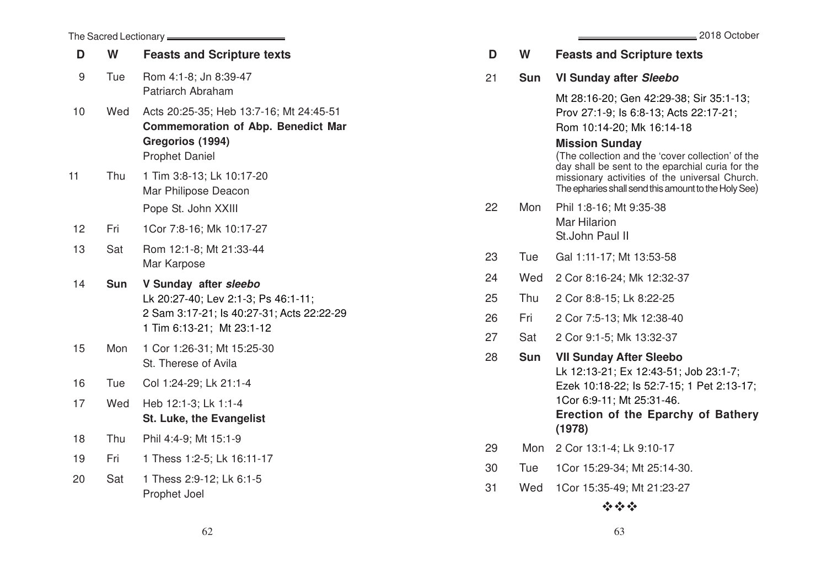|    | The Sacred Lectionary <b>________</b> |                                                                                                                                        |  |  |  |
|----|---------------------------------------|----------------------------------------------------------------------------------------------------------------------------------------|--|--|--|
| D  | W                                     | <b>Feasts and Scripture texts</b>                                                                                                      |  |  |  |
| 9  | Tue                                   | Rom 4:1-8; Jn 8:39-47<br>Patriarch Abraham                                                                                             |  |  |  |
| 10 | Wed                                   | Acts 20:25-35; Heb 13:7-16; Mt 24:45-51<br><b>Commemoration of Abp. Benedict Mar</b><br>Gregorios (1994)<br><b>Prophet Daniel</b>      |  |  |  |
| 11 | Thu                                   | 1 Tim 3:8-13; Lk 10:17-20<br>Mar Philipose Deacon<br>Pope St. John XXIII                                                               |  |  |  |
| 12 | Fri                                   | 1Cor 7:8-16; Mk 10:17-27                                                                                                               |  |  |  |
| 13 | Sat                                   | Rom 12:1-8; Mt 21:33-44<br>Mar Karpose                                                                                                 |  |  |  |
| 14 | <b>Sun</b>                            | V Sunday after sleebo<br>Lk 20:27-40; Lev 2:1-3; Ps 46:1-11;<br>2 Sam 3:17-21; ls 40:27-31; Acts 22:22-29<br>1 Tim 6:13-21; Mt 23:1-12 |  |  |  |
| 15 | Mon                                   | 1 Cor 1:26-31; Mt 15:25-30<br>St. Therese of Avila                                                                                     |  |  |  |
| 16 | Tue                                   | Col 1:24-29; Lk 21:1-4                                                                                                                 |  |  |  |
| 17 | Wed                                   | Heb 12:1-3; Lk 1:1-4<br>St. Luke, the Evangelist                                                                                       |  |  |  |
| 18 | Thu                                   | Phil 4:4-9; Mt 15:1-9                                                                                                                  |  |  |  |
| 19 | Fri                                   | 1 Thess 1:2-5; Lk 16:11-17                                                                                                             |  |  |  |
| 20 | Sat                                   | 1 Thess 2:9-12; Lk 6:1-5<br>Prophet Joel                                                                                               |  |  |  |

| D  | W          | <b>Feasts and Scripture texts</b>                                                                                                                                                                                                        |
|----|------------|------------------------------------------------------------------------------------------------------------------------------------------------------------------------------------------------------------------------------------------|
| 21 | <b>Sun</b> | <b>VI Sunday after Sleebo</b>                                                                                                                                                                                                            |
|    |            | Mt 28:16-20; Gen 42:29-38; Sir 35:1-13;<br>Prov 27:1-9; Is 6:8-13; Acts 22:17-21;<br>Rom 10:14-20; Mk 16:14-18                                                                                                                           |
|    |            | <b>Mission Sunday</b><br>(The collection and the 'cover collection' of the<br>day shall be sent to the eparchial curia for the<br>missionary activities of the universal Church.<br>The epharies shall send this amount to the Holy See) |
| 22 | Mon        | Phil 1:8-16; Mt 9:35-38<br><b>Mar Hilarion</b><br>St.John Paul II                                                                                                                                                                        |
| 23 | Tue        | Gal 1:11-17; Mt 13:53-58                                                                                                                                                                                                                 |
| 24 | Wed        | 2 Cor 8:16-24; Mk 12:32-37                                                                                                                                                                                                               |
| 25 | Thu        | 2 Cor 8:8-15; Lk 8:22-25                                                                                                                                                                                                                 |
| 26 | Fri        | 2 Cor 7:5-13; Mk 12:38-40                                                                                                                                                                                                                |
| 27 | Sat        | 2 Cor 9:1-5; Mk 13:32-37                                                                                                                                                                                                                 |
| 28 | Sun        | <b>VII Sunday After Sleebo</b><br>Lk 12:13-21; Ex 12:43-51; Job 23:1-7;<br>Ezek 10:18-22; ls 52:7-15; 1 Pet 2:13-17;<br>1Cor 6:9-11; Mt 25:31-46.<br><b>Erection of the Eparchy of Bathery</b><br>(1978)                                 |
| 29 | Mon        | 2 Cor 13:1-4; Lk 9:10-17                                                                                                                                                                                                                 |
| 30 | Tue        | 1Cor 15:29-34; Mt 25:14-30.                                                                                                                                                                                                              |
| 31 | Wed        | 1Cor 15:35-49; Mt 21:23-27                                                                                                                                                                                                               |
|    |            |                                                                                                                                                                                                                                          |

## $\psi$   $\psi$   $\psi$